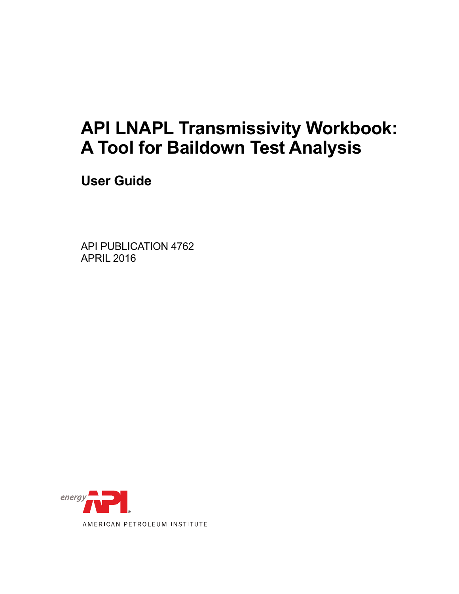# **API LNAPL Transmissivity Workbook: A Tool for Baildown Test Analysis**

**User Guide**

API PUBLICATION 4762 APRIL 2016

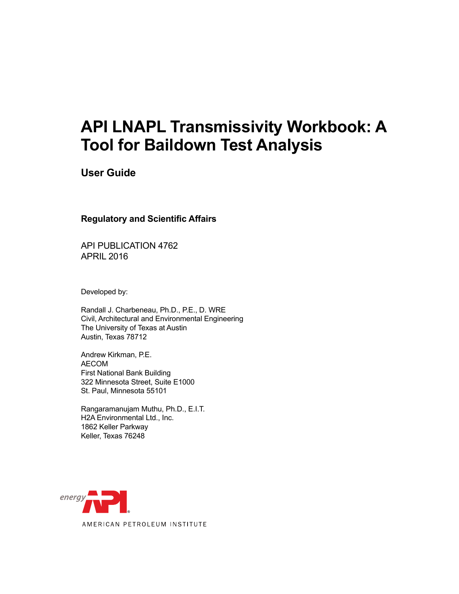# **API LNAPL Transmissivity Workbook: A Tool for Baildown Test Analysis**

**User Guide**

**Regulatory and Scientific Affairs**

API PUBLICATION 4762 APRIL 2016

Developed by:

Randall J. Charbeneau, Ph.D., P.E., D. WRE Civil, Architectural and Environmental Engineering The University of Texas at Austin Austin, Texas 78712

Andrew Kirkman, P.E. AECOM First National Bank Building 322 Minnesota Street, Suite E1000 St. Paul, Minnesota 55101

Rangaramanujam Muthu, Ph.D., E.I.T. H2A Environmental Ltd., Inc. 1862 Keller Parkway Keller, Texas 76248

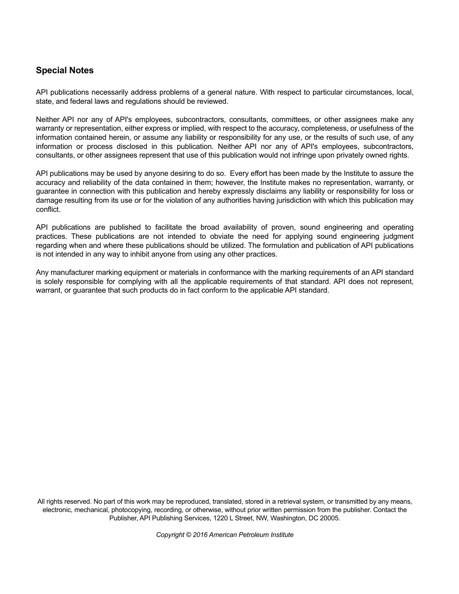#### **Special Notes**

API publications necessarily address problems of a general nature. With respect to particular circumstances, local, state, and federal laws and regulations should be reviewed.

Neither API nor any of API's employees, subcontractors, consultants, committees, or other assignees make any warranty or representation, either express or implied, with respect to the accuracy, completeness, or usefulness of the information contained herein, or assume any liability or responsibility for any use, or the results of such use, of any information or process disclosed in this publication. Neither API nor any of API's employees, subcontractors, consultants, or other assignees represent that use of this publication would not infringe upon privately owned rights.

API publications may be used by anyone desiring to do so. Every effort has been made by the Institute to assure the accuracy and reliability of the data contained in them; however, the Institute makes no representation, warranty, or guarantee in connection with this publication and hereby expressly disclaims any liability or responsibility for loss or damage resulting from its use or for the violation of any authorities having jurisdiction with which this publication may conflict.

API publications are published to facilitate the broad availability of proven, sound engineering and operating practices. These publications are not intended to obviate the need for applying sound engineering judgment regarding when and where these publications should be utilized. The formulation and publication of API publications is not intended in any way to inhibit anyone from using any other practices.

Any manufacturer marking equipment or materials in conformance with the marking requirements of an API standard is solely responsible for complying with all the applicable requirements of that standard. API does not represent, warrant, or guarantee that such products do in fact conform to the applicable API standard.

All rights reserved. No part of this work may be reproduced, translated, stored in a retrieval system, or transmitted by any means, electronic, mechanical, photocopying, recording, or otherwise, without prior written permission from the publisher. Contact the Publisher, API Publishing Services, 1220 L Street, NW, Washington, DC 20005.

*Copyright © 2016 American Petroleum Institute*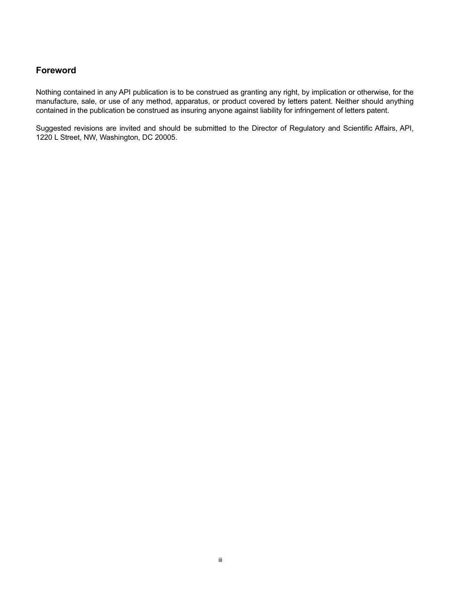#### **Foreword**

Nothing contained in any API publication is to be construed as granting any right, by implication or otherwise, for the manufacture, sale, or use of any method, apparatus, or product covered by letters patent. Neither should anything contained in the publication be construed as insuring anyone against liability for infringement of letters patent.

Suggested revisions are invited and should be submitted to the Director of Regulatory and Scientific Affairs, API, 1220 L Street, NW, Washington, DC 20005.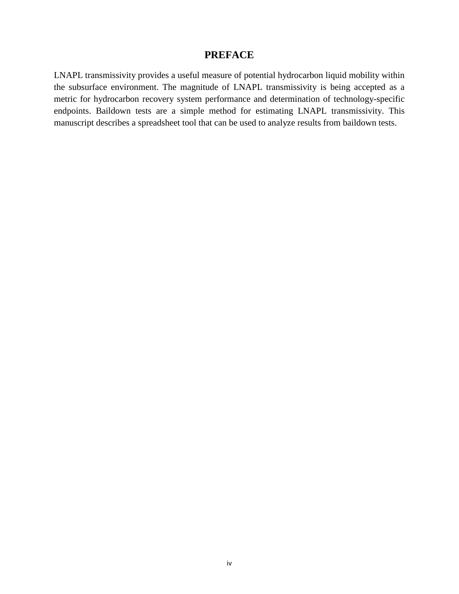## **PREFACE**

LNAPL transmissivity provides a useful measure of potential hydrocarbon liquid mobility within the subsurface environment. The magnitude of LNAPL transmissivity is being accepted as a metric for hydrocarbon recovery system performance and determination of technology-specific endpoints. Baildown tests are a simple method for estimating LNAPL transmissivity. This manuscript describes a spreadsheet tool that can be used to analyze results from baildown tests.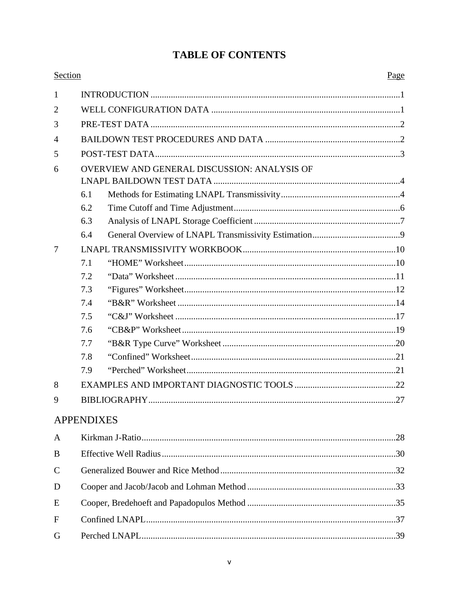|  |  | <b>TABLE OF CONTENTS</b> |
|--|--|--------------------------|
|--|--|--------------------------|

| <b>Section</b> |                                              | Page |
|----------------|----------------------------------------------|------|
| $\mathbf{1}$   |                                              |      |
| $\overline{2}$ |                                              |      |
| 3              |                                              |      |
| $\overline{4}$ |                                              |      |
| 5              |                                              |      |
| 6              | OVERVIEW AND GENERAL DISCUSSION: ANALYSIS OF |      |
|                | 6.1                                          |      |
|                | 6.2                                          |      |
|                | 6.3                                          |      |
|                | 6.4                                          |      |
| $\overline{7}$ |                                              |      |
|                | 7.1                                          |      |
|                | 7.2                                          |      |
|                | 7.3                                          |      |
|                | 7.4                                          |      |
|                | 7.5                                          |      |
|                | 7.6                                          |      |
|                | 7.7                                          |      |
|                | 7.8                                          |      |
|                | 7.9                                          |      |
| 8              |                                              |      |
| 9              |                                              |      |
|                | <b>APPENDIXES</b>                            |      |
| A              |                                              |      |
| B              |                                              |      |
| $\mathbf C$    |                                              |      |
| D              |                                              |      |
| E              |                                              |      |
| $\overline{F}$ |                                              |      |
| G              |                                              |      |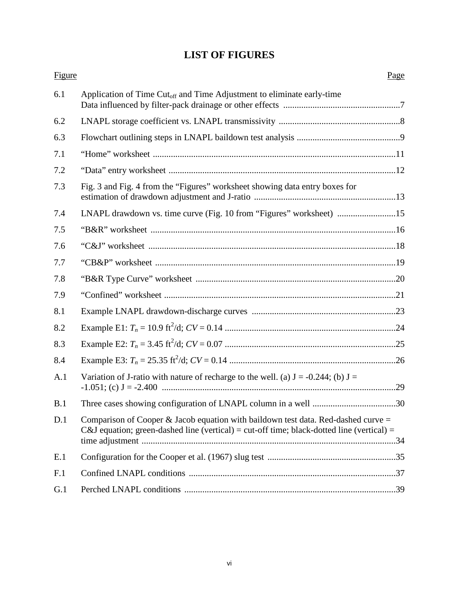# **LIST OF FIGURES**

| <b>Figure</b> |                                                                                                                                                                                  | Page |
|---------------|----------------------------------------------------------------------------------------------------------------------------------------------------------------------------------|------|
| 6.1           | Application of Time Cut <sub>off</sub> and Time Adjustment to eliminate early-time                                                                                               |      |
| 6.2           |                                                                                                                                                                                  |      |
| 6.3           |                                                                                                                                                                                  |      |
| 7.1           |                                                                                                                                                                                  |      |
| 7.2           |                                                                                                                                                                                  |      |
| 7.3           | Fig. 3 and Fig. 4 from the "Figures" worksheet showing data entry boxes for                                                                                                      |      |
| 7.4           |                                                                                                                                                                                  |      |
| 7.5           |                                                                                                                                                                                  |      |
| 7.6           |                                                                                                                                                                                  |      |
| 7.7           |                                                                                                                                                                                  |      |
| 7.8           |                                                                                                                                                                                  |      |
| 7.9           |                                                                                                                                                                                  |      |
| 8.1           |                                                                                                                                                                                  |      |
| 8.2           |                                                                                                                                                                                  |      |
| 8.3           |                                                                                                                                                                                  |      |
| 8.4           |                                                                                                                                                                                  |      |
| A.1           | Variation of J-ratio with nature of recharge to the well. (a) $J = -0.244$ ; (b) $J =$                                                                                           |      |
| B.1           |                                                                                                                                                                                  |      |
| D.1           | Comparison of Cooper & Jacob equation with baildown test data. Red-dashed curve $=$<br>C&J equation; green-dashed line (vertical) = cut-off time; black-dotted line (vertical) = |      |
| E.1           |                                                                                                                                                                                  |      |
| F.1           |                                                                                                                                                                                  |      |
| G.1           |                                                                                                                                                                                  |      |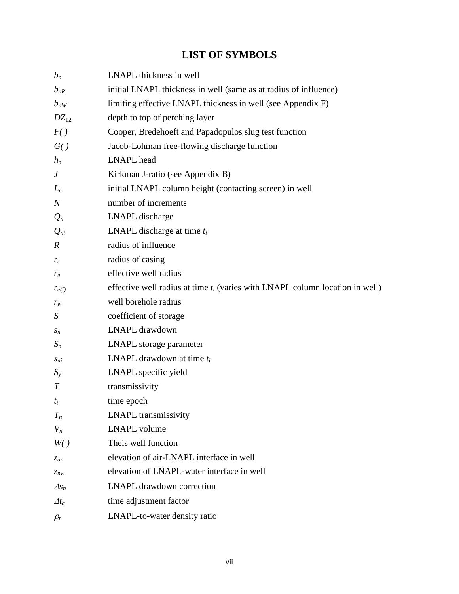# **LIST OF SYMBOLS**

| $b_n$            | LNAPL thickness in well                                                         |
|------------------|---------------------------------------------------------------------------------|
| $b_{nR}$         | initial LNAPL thickness in well (same as at radius of influence)                |
| $b_{nW}$         | limiting effective LNAPL thickness in well (see Appendix F)                     |
| $DZ_{12}$        | depth to top of perching layer                                                  |
| F()              | Cooper, Bredehoeft and Papadopulos slug test function                           |
| G( )             | Jacob-Lohman free-flowing discharge function                                    |
| $h_n$            | LNAPL head                                                                      |
| J                | Kirkman J-ratio (see Appendix B)                                                |
| $L_e$            | initial LNAPL column height (contacting screen) in well                         |
| $\boldsymbol{N}$ | number of increments                                                            |
| $Q_n$            | LNAPL discharge                                                                 |
| $Q_{ni}$         | LNAPL discharge at time $t_i$                                                   |
| $\boldsymbol{R}$ | radius of influence                                                             |
| $r_c$            | radius of casing                                                                |
| $r_e$            | effective well radius                                                           |
| $r_{e(i)}$       | effective well radius at time $t_i$ (varies with LNAPL column location in well) |
| $r_w$            | well borehole radius                                                            |
| $S_{\rm}$        | coefficient of storage                                                          |
| $S_n$            | LNAPL drawdown                                                                  |
| $S_n$            | LNAPL storage parameter                                                         |
| $S_{ni}$         | LNAPL drawdown at time $t_i$                                                    |
| $S_{\rm v}$      | LNAPL specific yield                                                            |
| $\, T \,$        | transmissivity                                                                  |
| $t_i$            | time epoch                                                                      |
| $T_n$            | <b>LNAPL</b> transmissivity                                                     |
| $V_n$            | <b>LNAPL</b> volume                                                             |
| W( )             | Theis well function                                                             |
| $z_{an}$         | elevation of air-LNAPL interface in well                                        |
| $z_{nw}$         | elevation of LNAPL-water interface in well                                      |
| $\Delta s_n$     | <b>LNAPL</b> drawdown correction                                                |
| $\varDelta t_a$  | time adjustment factor                                                          |
| $\rho_r$         | LNAPL-to-water density ratio                                                    |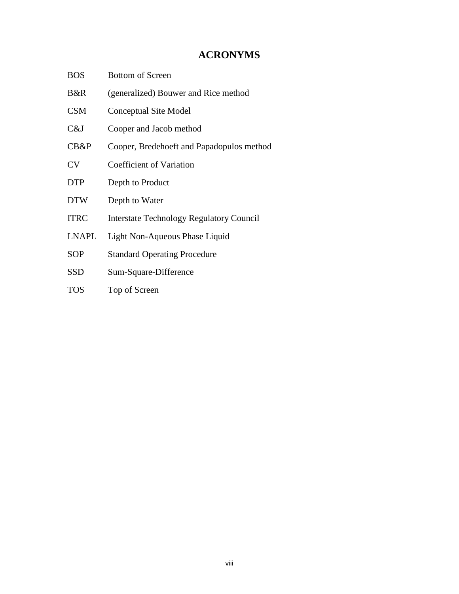## **ACRONYMS**

| BOS | <b>Bottom of Screen</b> |
|-----|-------------------------|
|-----|-------------------------|

- B&R (generalized) Bouwer and Rice method
- CSM Conceptual Site Model
- C&J Cooper and Jacob method
- CB&P Cooper, Bredehoeft and Papadopulos method
- CV Coefficient of Variation
- DTP Depth to Product
- DTW Depth to Water
- ITRC Interstate Technology Regulatory Council
- LNAPL Light Non-Aqueous Phase Liquid
- SOP Standard Operating Procedure
- SSD Sum-Square-Difference
- TOS Top of Screen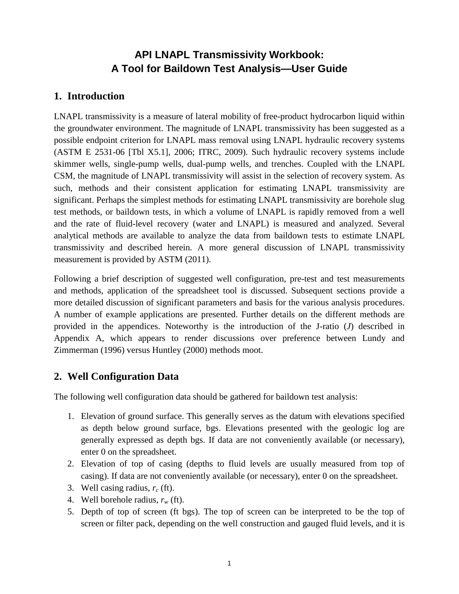# **API LNAPL Transmissivity Workbook: A Tool for Baildown Test Analysis—User Guide**

## **1. Introduction**

LNAPL transmissivity is a measure of lateral mobility of free-product hydrocarbon liquid within the groundwater environment. The magnitude of LNAPL transmissivity has been suggested as a possible endpoint criterion for LNAPL mass removal using LNAPL hydraulic recovery systems (ASTM E 2531-06 [Tbl X5.1], 2006; ITRC, 2009). Such hydraulic recovery systems include skimmer wells, single-pump wells, dual-pump wells, and trenches. Coupled with the LNAPL CSM, the magnitude of LNAPL transmissivity will assist in the selection of recovery system. As such, methods and their consistent application for estimating LNAPL transmissivity are significant. Perhaps the simplest methods for estimating LNAPL transmissivity are borehole slug test methods, or baildown tests, in which a volume of LNAPL is rapidly removed from a well and the rate of fluid-level recovery (water and LNAPL) is measured and analyzed. Several analytical methods are available to analyze the data from baildown tests to estimate LNAPL transmissivity and described herein. A more general discussion of LNAPL transmissivity measurement is provided by ASTM (2011).

Following a brief description of suggested well configuration, pre-test and test measurements and methods, application of the spreadsheet tool is discussed. Subsequent sections provide a more detailed discussion of significant parameters and basis for the various analysis procedures. A number of example applications are presented. Further details on the different methods are provided in the appendices. Noteworthy is the introduction of the J-ratio (*J*) described in Appendix A, which appears to render discussions over preference between Lundy and Zimmerman (1996) versus Huntley (2000) methods moot.

# **2. Well Configuration Data**

The following well configuration data should be gathered for baildown test analysis:

- 1. Elevation of ground surface. This generally serves as the datum with elevations specified as depth below ground surface, bgs. Elevations presented with the geologic log are generally expressed as depth bgs. If data are not conveniently available (or necessary), enter 0 on the spreadsheet.
- 2. Elevation of top of casing (depths to fluid levels are usually measured from top of casing). If data are not conveniently available (or necessary), enter 0 on the spreadsheet.
- 3. Well casing radius,  $r_c$  (ft).
- 4. Well borehole radius,  $r_w$  (ft).
- 5. Depth of top of screen (ft bgs). The top of screen can be interpreted to be the top of screen or filter pack, depending on the well construction and gauged fluid levels, and it is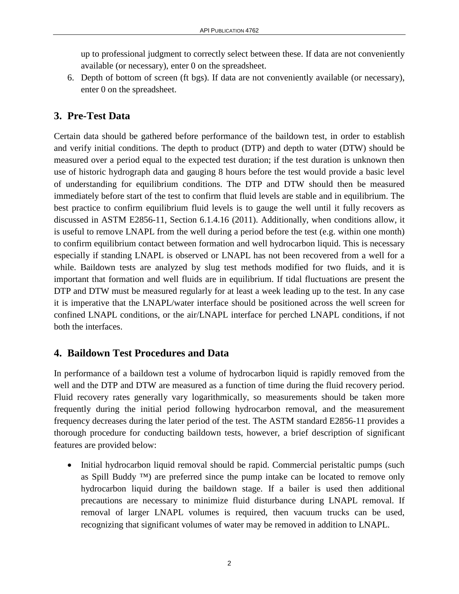up to professional judgment to correctly select between these. If data are not conveniently available (or necessary), enter 0 on the spreadsheet.

6. Depth of bottom of screen (ft bgs). If data are not conveniently available (or necessary), enter 0 on the spreadsheet.

## **3. Pre-Test Data**

Certain data should be gathered before performance of the baildown test, in order to establish and verify initial conditions. The depth to product (DTP) and depth to water (DTW) should be measured over a period equal to the expected test duration; if the test duration is unknown then use of historic hydrograph data and gauging 8 hours before the test would provide a basic level of understanding for equilibrium conditions. The DTP and DTW should then be measured immediately before start of the test to confirm that fluid levels are stable and in equilibrium. The best practice to confirm equilibrium fluid levels is to gauge the well until it fully recovers as discussed in ASTM E2856-11, Section 6.1.4.16 (2011). Additionally, when conditions allow, it is useful to remove LNAPL from the well during a period before the test (e.g. within one month) to confirm equilibrium contact between formation and well hydrocarbon liquid. This is necessary especially if standing LNAPL is observed or LNAPL has not been recovered from a well for a while. Baildown tests are analyzed by slug test methods modified for two fluids, and it is important that formation and well fluids are in equilibrium. If tidal fluctuations are present the DTP and DTW must be measured regularly for at least a week leading up to the test. In any case it is imperative that the LNAPL/water interface should be positioned across the well screen for confined LNAPL conditions, or the air/LNAPL interface for perched LNAPL conditions, if not both the interfaces.

## **4. Baildown Test Procedures and Data**

In performance of a baildown test a volume of hydrocarbon liquid is rapidly removed from the well and the DTP and DTW are measured as a function of time during the fluid recovery period. Fluid recovery rates generally vary logarithmically, so measurements should be taken more frequently during the initial period following hydrocarbon removal, and the measurement frequency decreases during the later period of the test. The ASTM standard E2856-11 provides a thorough procedure for conducting baildown tests, however, a brief description of significant features are provided below:

• Initial hydrocarbon liquid removal should be rapid. Commercial peristaltic pumps (such as Spill Buddy ™) are preferred since the pump intake can be located to remove only hydrocarbon liquid during the baildown stage. If a bailer is used then additional precautions are necessary to minimize fluid disturbance during LNAPL removal. If removal of larger LNAPL volumes is required, then vacuum trucks can be used, recognizing that significant volumes of water may be removed in addition to LNAPL.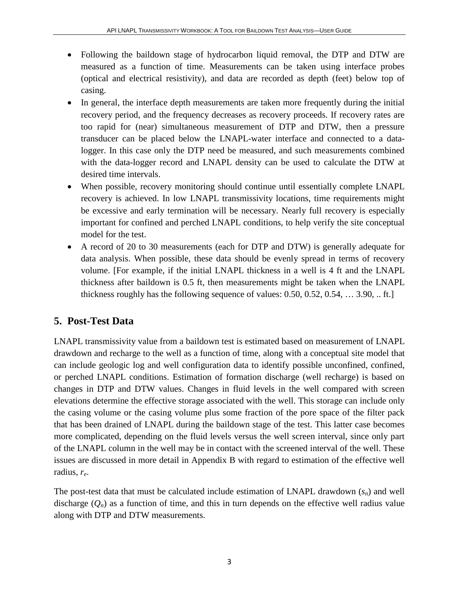- Following the baildown stage of hydrocarbon liquid removal, the DTP and DTW are measured as a function of time. Measurements can be taken using interface probes (optical and electrical resistivity), and data are recorded as depth (feet) below top of casing.
- In general, the interface depth measurements are taken more frequently during the initial recovery period, and the frequency decreases as recovery proceeds. If recovery rates are too rapid for (near) simultaneous measurement of DTP and DTW, then a pressure transducer can be placed below the LNAPL-water interface and connected to a datalogger. In this case only the DTP need be measured, and such measurements combined with the data-logger record and LNAPL density can be used to calculate the DTW at desired time intervals.
- When possible, recovery monitoring should continue until essentially complete LNAPL recovery is achieved. In low LNAPL transmissivity locations, time requirements might be excessive and early termination will be necessary. Nearly full recovery is especially important for confined and perched LNAPL conditions, to help verify the site conceptual model for the test.
- A record of 20 to 30 measurements (each for DTP and DTW) is generally adequate for data analysis. When possible, these data should be evenly spread in terms of recovery volume. [For example, if the initial LNAPL thickness in a well is 4 ft and the LNAPL thickness after baildown is 0.5 ft, then measurements might be taken when the LNAPL thickness roughly has the following sequence of values: 0.50, 0.52, 0.54, … 3.90, .. ft.]

# **5. Post-Test Data**

LNAPL transmissivity value from a baildown test is estimated based on measurement of LNAPL drawdown and recharge to the well as a function of time, along with a conceptual site model that can include geologic log and well configuration data to identify possible unconfined, confined, or perched LNAPL conditions. Estimation of formation discharge (well recharge) is based on changes in DTP and DTW values. Changes in fluid levels in the well compared with screen elevations determine the effective storage associated with the well. This storage can include only the casing volume or the casing volume plus some fraction of the pore space of the filter pack that has been drained of LNAPL during the baildown stage of the test. This latter case becomes more complicated, depending on the fluid levels versus the well screen interval, since only part of the LNAPL column in the well may be in contact with the screened interval of the well. These issues are discussed in more detail in Appendix B with regard to estimation of the effective well radius, *re*.

The post-test data that must be calculated include estimation of LNAPL drawdown  $(s_n)$  and well discharge  $(Q_n)$  as a function of time, and this in turn depends on the effective well radius value along with DTP and DTW measurements.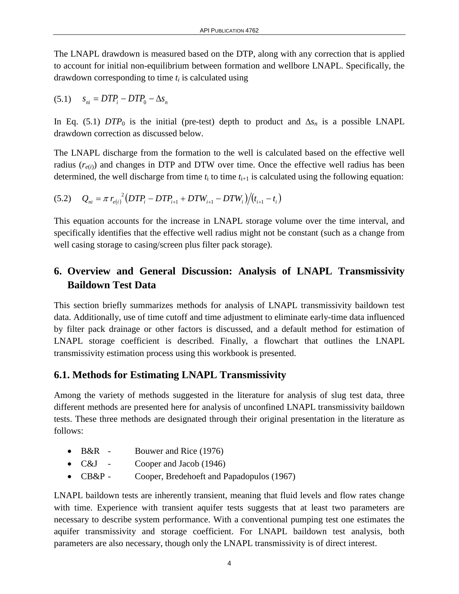The LNAPL drawdown is measured based on the DTP, along with any correction that is applied to account for initial non-equilibrium between formation and wellbore LNAPL. Specifically, the drawdown corresponding to time *ti* is calculated using

 $(S.1)$   $S_{ni} = DTP_i - DTP_0 - \Delta S_n$ 

In Eq. (5.1) *DTP*<sup>0</sup> is the initial (pre-test) depth to product and  $\Delta s_n$  is a possible LNAPL drawdown correction as discussed below.

The LNAPL discharge from the formation to the well is calculated based on the effective well radius  $(r_{e(i)})$  and changes in DTP and DTW over time. Once the effective well radius has been determined, the well discharge from time  $t_i$  to time  $t_{i+1}$  is calculated using the following equation:

$$
(5.2) \tQ_{ni} = \pi r_{e(i)}^{2} (DTP_i - DTP_{i+1} + DTW_{i+1} - DTW_i)/(t_{i+1} - t_i)
$$

This equation accounts for the increase in LNAPL storage volume over the time interval, and specifically identifies that the effective well radius might not be constant (such as a change from well casing storage to casing/screen plus filter pack storage).

# **6. Overview and General Discussion: Analysis of LNAPL Transmissivity Baildown Test Data**

This section briefly summarizes methods for analysis of LNAPL transmissivity baildown test data. Additionally, use of time cutoff and time adjustment to eliminate early-time data influenced by filter pack drainage or other factors is discussed, and a default method for estimation of LNAPL storage coefficient is described. Finally, a flowchart that outlines the LNAPL transmissivity estimation process using this workbook is presented.

# **6.1. Methods for Estimating LNAPL Transmissivity**

Among the variety of methods suggested in the literature for analysis of slug test data, three different methods are presented here for analysis of unconfined LNAPL transmissivity baildown tests. These three methods are designated through their original presentation in the literature as follows:

- B&R Bouwer and Rice (1976)
- C&J Cooper and Jacob (1946)
- CB&P Cooper, Bredehoeft and Papadopulos (1967)

LNAPL baildown tests are inherently transient, meaning that fluid levels and flow rates change with time. Experience with transient aquifer tests suggests that at least two parameters are necessary to describe system performance. With a conventional pumping test one estimates the aquifer transmissivity and storage coefficient. For LNAPL baildown test analysis, both parameters are also necessary, though only the LNAPL transmissivity is of direct interest.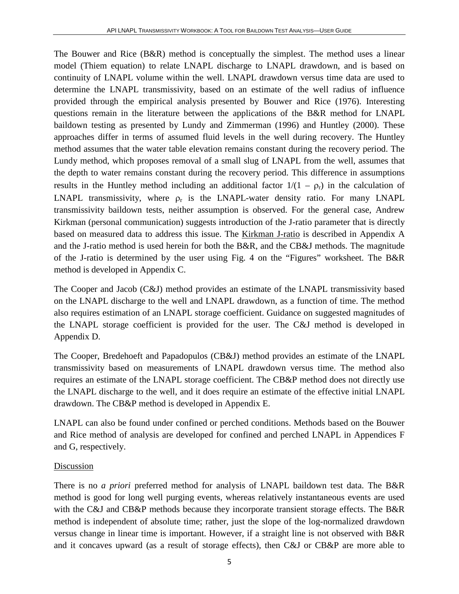The Bouwer and Rice (B&R) method is conceptually the simplest. The method uses a linear model (Thiem equation) to relate LNAPL discharge to LNAPL drawdown, and is based on continuity of LNAPL volume within the well. LNAPL drawdown versus time data are used to determine the LNAPL transmissivity, based on an estimate of the well radius of influence provided through the empirical analysis presented by Bouwer and Rice (1976). Interesting questions remain in the literature between the applications of the B&R method for LNAPL baildown testing as presented by Lundy and Zimmerman (1996) and Huntley (2000). These approaches differ in terms of assumed fluid levels in the well during recovery. The Huntley method assumes that the water table elevation remains constant during the recovery period. The Lundy method, which proposes removal of a small slug of LNAPL from the well, assumes that the depth to water remains constant during the recovery period. This difference in assumptions results in the Huntley method including an additional factor  $1/(1 - \rho_r)$  in the calculation of LNAPL transmissivity, where  $\rho_r$  is the LNAPL-water density ratio. For many LNAPL transmissivity baildown tests, neither assumption is observed. For the general case, Andrew Kirkman (personal communication) suggests introduction of the J-ratio parameter that is directly based on measured data to address this issue. The Kirkman J-ratio is described in Appendix A and the J-ratio method is used herein for both the B&R, and the CB&J methods. The magnitude of the J-ratio is determined by the user using Fig. 4 on the "Figures" worksheet. The B&R method is developed in Appendix C.

The Cooper and Jacob (C&J) method provides an estimate of the LNAPL transmissivity based on the LNAPL discharge to the well and LNAPL drawdown, as a function of time. The method also requires estimation of an LNAPL storage coefficient. Guidance on suggested magnitudes of the LNAPL storage coefficient is provided for the user. The C&J method is developed in Appendix D.

The Cooper, Bredehoeft and Papadopulos (CB&J) method provides an estimate of the LNAPL transmissivity based on measurements of LNAPL drawdown versus time. The method also requires an estimate of the LNAPL storage coefficient. The CB&P method does not directly use the LNAPL discharge to the well, and it does require an estimate of the effective initial LNAPL drawdown. The CB&P method is developed in Appendix E.

LNAPL can also be found under confined or perched conditions. Methods based on the Bouwer and Rice method of analysis are developed for confined and perched LNAPL in Appendices F and G, respectively.

## **Discussion**

There is no *a priori* preferred method for analysis of LNAPL baildown test data. The B&R method is good for long well purging events, whereas relatively instantaneous events are used with the C&J and CB&P methods because they incorporate transient storage effects. The B&R method is independent of absolute time; rather, just the slope of the log-normalized drawdown versus change in linear time is important. However, if a straight line is not observed with B&R and it concaves upward (as a result of storage effects), then C&J or CB&P are more able to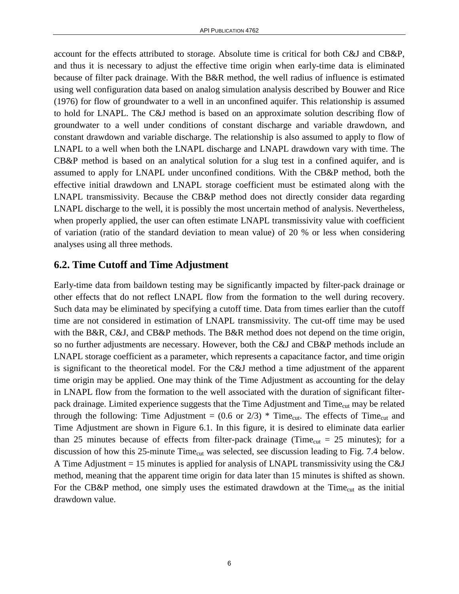account for the effects attributed to storage. Absolute time is critical for both C&J and CB&P, and thus it is necessary to adjust the effective time origin when early-time data is eliminated because of filter pack drainage. With the B&R method, the well radius of influence is estimated using well configuration data based on analog simulation analysis described by Bouwer and Rice (1976) for flow of groundwater to a well in an unconfined aquifer. This relationship is assumed to hold for LNAPL. The C&J method is based on an approximate solution describing flow of groundwater to a well under conditions of constant discharge and variable drawdown, and constant drawdown and variable discharge. The relationship is also assumed to apply to flow of LNAPL to a well when both the LNAPL discharge and LNAPL drawdown vary with time. The CB&P method is based on an analytical solution for a slug test in a confined aquifer, and is assumed to apply for LNAPL under unconfined conditions. With the CB&P method, both the effective initial drawdown and LNAPL storage coefficient must be estimated along with the LNAPL transmissivity. Because the CB&P method does not directly consider data regarding LNAPL discharge to the well, it is possibly the most uncertain method of analysis. Nevertheless, when properly applied, the user can often estimate LNAPL transmissivity value with coefficient of variation (ratio of the standard deviation to mean value) of 20 % or less when considering analyses using all three methods.

#### **6.2. Time Cutoff and Time Adjustment**

Early-time data from baildown testing may be significantly impacted by filter-pack drainage or other effects that do not reflect LNAPL flow from the formation to the well during recovery. Such data may be eliminated by specifying a cutoff time. Data from times earlier than the cutoff time are not considered in estimation of LNAPL transmissivity. The cut-off time may be used with the B&R, C&J, and CB&P methods. The B&R method does not depend on the time origin, so no further adjustments are necessary. However, both the C&J and CB&P methods include an LNAPL storage coefficient as a parameter, which represents a capacitance factor, and time origin is significant to the theoretical model. For the C&J method a time adjustment of the apparent time origin may be applied. One may think of the Time Adjustment as accounting for the delay in LNAPL flow from the formation to the well associated with the duration of significant filterpack drainage. Limited experience suggests that the Time Adjustment and Time<sub>cut</sub> may be related through the following: Time Adjustment =  $(0.6 \text{ or } 2/3)$  \* Time<sub>cut</sub>. The effects of Time<sub>cut</sub> and Time Adjustment are shown in Figure 6.1. In this figure, it is desired to eliminate data earlier than 25 minutes because of effects from filter-pack drainage (Time<sub>cut</sub> = 25 minutes); for a discussion of how this 25-minute Time<sub>cut</sub> was selected, see discussion leading to Fig. 7.4 below. A Time Adjustment = 15 minutes is applied for analysis of LNAPL transmissivity using the C&J method, meaning that the apparent time origin for data later than 15 minutes is shifted as shown. For the CB&P method, one simply uses the estimated drawdown at the  $Time_{cut}$  as the initial drawdown value.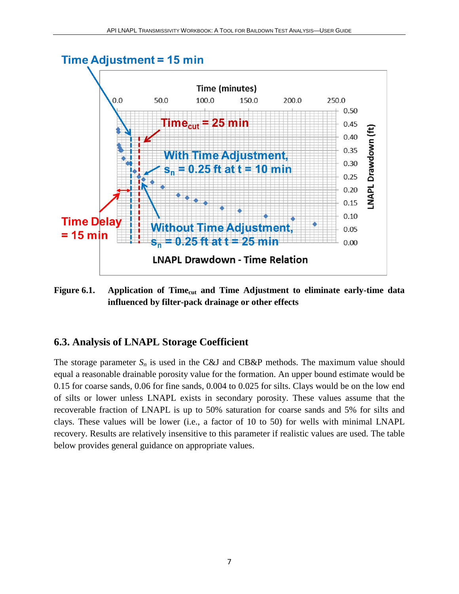

**Figure 6.1.** Application of Time<sub>cut</sub> and Time Adjustment to eliminate early-time data **influenced by filter-pack drainage or other effects**

## **6.3. Analysis of LNAPL Storage Coefficient**

The storage parameter  $S_n$  is used in the C&J and CB&P methods. The maximum value should equal a reasonable drainable porosity value for the formation. An upper bound estimate would be 0.15 for coarse sands, 0.06 for fine sands, 0.004 to 0.025 for silts. Clays would be on the low end of silts or lower unless LNAPL exists in secondary porosity. These values assume that the recoverable fraction of LNAPL is up to 50% saturation for coarse sands and 5% for silts and clays. These values will be lower (i.e., a factor of 10 to 50) for wells with minimal LNAPL recovery. Results are relatively insensitive to this parameter if realistic values are used. The table below provides general guidance on appropriate values.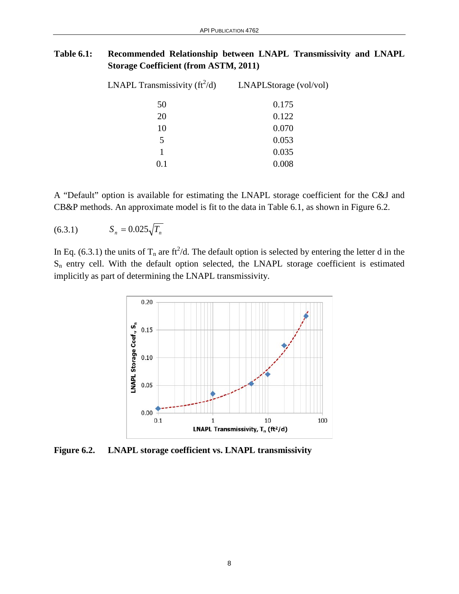#### **Table 6.1: Recommended Relationship between LNAPL Transmissivity and LNAPL Storage Coefficient (from ASTM, 2011)**

| <b>LNAPL</b> Transmissivity $(ft^2/d)$ | LNAPLStorage (vol/vol) |
|----------------------------------------|------------------------|
| 50                                     | 0.175                  |
| 20                                     | 0.122                  |
| 10                                     | 0.070                  |
| 5                                      | 0.053                  |
|                                        | 0.035                  |
|                                        | 0.008                  |

A "Default" option is available for estimating the LNAPL storage coefficient for the C&J and CB&P methods. An approximate model is fit to the data in Table 6.1, as shown in Figure 6.2.

$$
(6.3.1) \t Sn = 0.025 \sqrt{T_n}
$$

In Eq. (6.3.1) the units of  $T_n$  are ft<sup>2</sup>/d. The default option is selected by entering the letter d in the  $S_n$  entry cell. With the default option selected, the LNAPL storage coefficient is estimated implicitly as part of determining the LNAPL transmissivity.



**Figure 6.2. LNAPL storage coefficient vs. LNAPL transmissivity**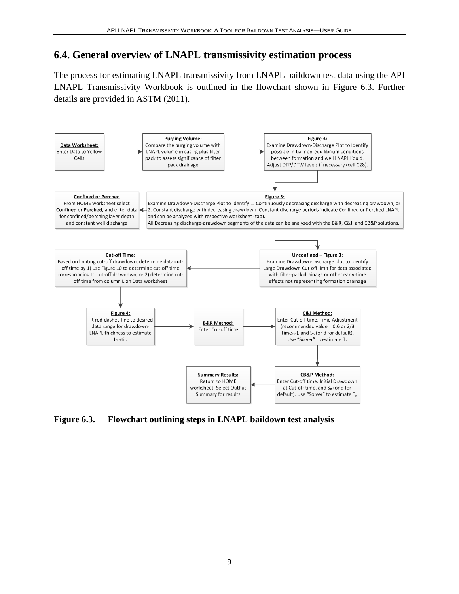## **6.4. General overview of LNAPL transmissivity estimation process**

The process for estimating LNAPL transmissivity from LNAPL baildown test data using the API LNAPL Transmissivity Workbook is outlined in the flowchart shown in Figure 6.3. Further details are provided in ASTM (2011).



**Figure 6.3. Flowchart outlining steps in LNAPL baildown test analysis**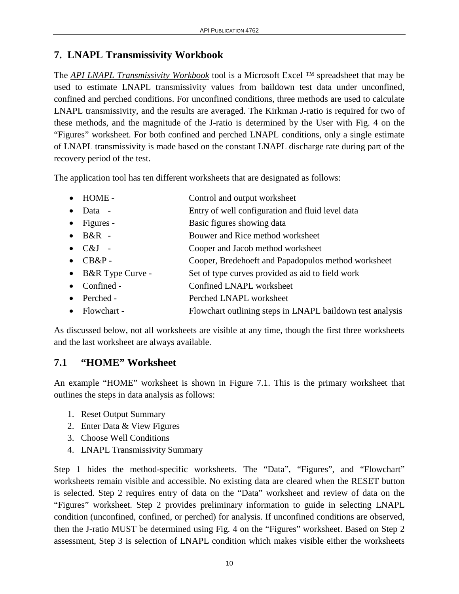# **7. LNAPL Transmissivity Workbook**

The *API LNAPL Transmissivity Workbook* tool is a Microsoft Excel ™ spreadsheet that may be used to estimate LNAPL transmissivity values from baildown test data under unconfined, confined and perched conditions. For unconfined conditions, three methods are used to calculate LNAPL transmissivity, and the results are averaged. The Kirkman J-ratio is required for two of these methods, and the magnitude of the J-ratio is determined by the User with Fig. 4 on the "Figures" worksheet. For both confined and perched LNAPL conditions, only a single estimate of LNAPL transmissivity is made based on the constant LNAPL discharge rate during part of the recovery period of the test.

The application tool has ten different worksheets that are designated as follows:

- HOME Control and output worksheet
- Data Entry of well configuration and fluid level data
- Figures Basic figures showing data
- B&R Bouwer and Rice method worksheet
- C&J Cooper and Jacob method worksheet
- CB&P Cooper, Bredehoeft and Papadopulos method worksheet
- B&R Type Curve Set of type curves provided as aid to field work
- Confined Confined LNAPL worksheet
- Perched Perched LNAPL worksheet
- Flowchart Flowchart outlining steps in LNAPL baildown test analysis

As discussed below, not all worksheets are visible at any time, though the first three worksheets and the last worksheet are always available.

## **7.1 "HOME" Worksheet**

An example "HOME" worksheet is shown in Figure 7.1. This is the primary worksheet that outlines the steps in data analysis as follows:

- 1. Reset Output Summary
- 2. Enter Data & View Figures
- 3. Choose Well Conditions
- 4. LNAPL Transmissivity Summary

Step 1 hides the method-specific worksheets. The "Data", "Figures", and "Flowchart" worksheets remain visible and accessible. No existing data are cleared when the RESET button is selected. Step 2 requires entry of data on the "Data" worksheet and review of data on the "Figures" worksheet. Step 2 provides preliminary information to guide in selecting LNAPL condition (unconfined, confined, or perched) for analysis. If unconfined conditions are observed, then the J-ratio MUST be determined using Fig. 4 on the "Figures" worksheet. Based on Step 2 assessment, Step 3 is selection of LNAPL condition which makes visible either the worksheets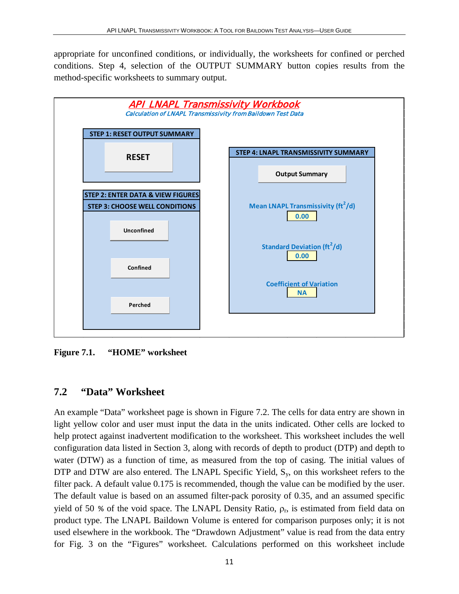appropriate for unconfined conditions, or individually, the worksheets for confined or perched conditions. Step 4, selection of the OUTPUT SUMMARY button copies results from the method-specific worksheets to summary output.



**Figure 7.1. "HOME" worksheet**

## **7.2 "Data" Worksheet**

An example "Data" worksheet page is shown in Figure 7.2. The cells for data entry are shown in light yellow color and user must input the data in the units indicated. Other cells are locked to help protect against inadvertent modification to the worksheet. This worksheet includes the well configuration data listed in Section 3, along with records of depth to product (DTP) and depth to water (DTW) as a function of time, as measured from the top of casing. The initial values of DTP and DTW are also entered. The LNAPL Specific Yield,  $S_y$ , on this worksheet refers to the filter pack. A default value 0.175 is recommended, though the value can be modified by the user. The default value is based on an assumed filter-pack porosity of 0.35, and an assumed specific yield of 50 % of the void space. The LNAPL Density Ratio,  $\rho_r$ , is estimated from field data on product type. The LNAPL Baildown Volume is entered for comparison purposes only; it is not used elsewhere in the workbook. The "Drawdown Adjustment" value is read from the data entry for Fig. 3 on the "Figures" worksheet. Calculations performed on this worksheet include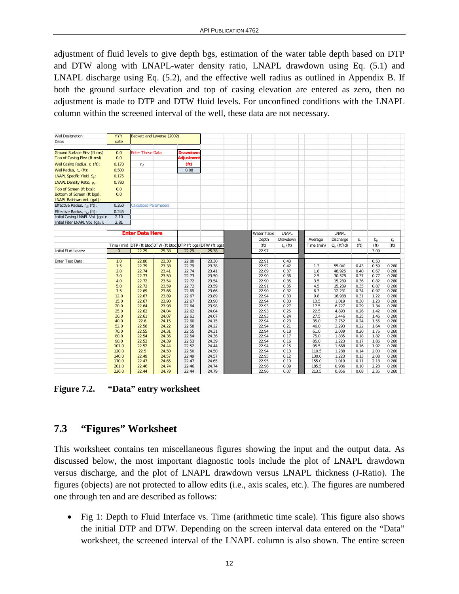adjustment of fluid levels to give depth bgs, estimation of the water table depth based on DTP and DTW along with LNAPL-water density ratio, LNAPL drawdown using Eq. (5.1) and LNAPL discharge using Eq. (5.2), and the effective well radius as outlined in Appendix B. If both the ground surface elevation and top of casing elevation are entered as zero, then no adjustment is made to DTP and DTW fluid levels. For unconfined conditions with the LNAPL column within the screened interval of the well, these data are not necessary.

| Well Designation:                      | <b>YYY</b>   | Beckett and Lyverse (2002)   |                |                                                                  |                |                   |              |              |                            |                   |                   |                   |  |
|----------------------------------------|--------------|------------------------------|----------------|------------------------------------------------------------------|----------------|-------------------|--------------|--------------|----------------------------|-------------------|-------------------|-------------------|--|
| Date:                                  | date         |                              |                |                                                                  |                |                   |              |              |                            |                   |                   |                   |  |
|                                        |              |                              |                |                                                                  |                |                   |              |              |                            |                   |                   |                   |  |
| Ground Surface Elev (ft msl)           | 0.0          | <b>Enter These Data</b>      |                | <b>Drawdown</b>                                                  |                |                   |              |              |                            |                   |                   |                   |  |
| Top of Casing Elev (ft msl)            | 0.0          |                              |                | Adjustment                                                       |                |                   |              |              |                            |                   |                   |                   |  |
| Well Casing Radius, r. (ft):           | 0.170        | $r_{e1}$                     |                | (f <sup>t</sup> )                                                |                |                   |              |              |                            |                   |                   |                   |  |
| Well Radius, r <sub>w</sub> (ft):      | 0.500        |                              |                | 0.08                                                             |                |                   |              |              |                            |                   |                   |                   |  |
| LNAPL Specific Yield, S <sub>v</sub> : | 0.175        |                              |                |                                                                  |                |                   |              |              |                            |                   |                   |                   |  |
| LNAPL Density Ratio, pr:               | 0.780        |                              |                |                                                                  |                |                   |              |              |                            |                   |                   |                   |  |
| Top of Screen (ft bgs):                | 0.0          |                              |                |                                                                  |                |                   |              |              |                            |                   |                   |                   |  |
| Bottom of Screen (ft bgs):             | 0.0          |                              |                |                                                                  |                |                   |              |              |                            |                   |                   |                   |  |
| LNAPL Baildown Vol. (gal.):            |              |                              |                |                                                                  |                |                   |              |              |                            |                   |                   |                   |  |
| Effective Radius, r.3 (ft):            | 0.260        | <b>Calculated Parameters</b> |                |                                                                  |                |                   |              |              |                            |                   |                   |                   |  |
| Effective Radius, re2 (ft):            | 0.245        |                              |                |                                                                  |                |                   |              |              |                            |                   |                   |                   |  |
| Initial Casing LNAPL Vol. (gal.)       | 2.10         |                              |                |                                                                  |                |                   |              |              |                            |                   |                   |                   |  |
| Initial Filter LNAPL Vol. (gal.):      | 2.81         |                              |                |                                                                  |                |                   |              |              |                            |                   |                   |                   |  |
|                                        |              |                              |                |                                                                  |                |                   |              |              |                            |                   |                   |                   |  |
|                                        |              | <b>Enter Data Here</b>       |                |                                                                  |                | Water Table       | LNAPL        |              | LNAPL                      |                   |                   |                   |  |
|                                        |              |                              |                |                                                                  |                | Depth             | Drawdown     | Average      | Discharge                  | $S_n$             | $b_n$             | $r_{\rm e}$       |  |
|                                        |              |                              |                | Time (min) DTP (ft btoc) DTW (ft btoc) DTP (ft bgs) DTW (ft bgs) |                | (f <sup>t</sup> ) | $s_n$ (ft)   | Time (min)   | $Q_n$ (ft <sup>3</sup> /d) | (f <sup>t</sup> ) | (f <sup>t</sup> ) | (f <sup>t</sup> ) |  |
| Initial Fluid Levels:                  | $\Omega$     | 22.29                        | 25.38          | 22.29                                                            | 25.38          | 22.97             |              |              |                            |                   | 3.09              |                   |  |
|                                        |              |                              |                |                                                                  |                |                   |              |              |                            |                   |                   |                   |  |
| Enter Test Data:                       | 1.0<br>1.5   | 22.80<br>22.79               | 23.30<br>23.38 | 22.80<br>22.79                                                   | 23.30<br>23.38 | 22.91<br>22.92    | 0.43<br>0.42 | 1.3          | 55.041                     | 0.43              | 0.50<br>0.59      | 0.260             |  |
|                                        | 2.0          | 22.74                        | 23.41          | 22.74                                                            | 23.41          | 22.89             | 0.37         | 1.8          | 48.925                     | 0.40              | 0.67              | 0.260             |  |
|                                        | 3.0          | 22.73                        | 23.50          | 22.73                                                            | 23.50          | 22.90             | 0.36         | 2.5          | 30.578                     | 0.37              | 0.77              | 0.260             |  |
|                                        | 4.0          | 22.72                        | 23.54          | 22.72                                                            | 23.54          | 22.90             | 0.35         | 3.5          | 15.289                     | 0.36              | 0.82              | 0.260             |  |
|                                        | 5.0          | 22.72                        | 23.59          | 22.72                                                            | 23.59          | 22.91             | 0.35         | 4.5          | 15.289                     | 0.35              | 0.87              | 0.260             |  |
|                                        | 7.5          | 22.69                        | 23.66          | 22.69                                                            | 23.66          | 22.90             | 0.32         | 6.3          | 12.231                     | 0.34              | 0.97              | 0.260             |  |
|                                        | 12.0         | 22.67                        | 23.89          | 22.67                                                            | 23.89          | 22.94             | 0.30         | 9.8          | 16.988                     | 0.31              | 1.22              | 0.260             |  |
|                                        | 15.0         | 22.67                        | 23.90          | 22.67                                                            | 23.90          | 22.94             | 0.30         | 13.5         | 1.019                      | 0.30              | 1.23              | 0.260             |  |
|                                        | 20.0         | 22.64                        | 23.98          | 22.64                                                            | 23.98          | 22.93             | 0.27         | 17.5         | 6.727                      | 0.29              | 1.34              | 0.260             |  |
|                                        | 25.0<br>30.0 | 22.62<br>22.61               | 24.04<br>24.07 | 22.62<br>22.61                                                   | 24.04<br>24.07 | 22.93<br>22.93    | 0.25<br>0.24 | 22.5<br>27.5 | 4.893<br>2.446             | 0.26<br>0.25      | 1.42<br>1.46      | 0.260<br>0.260    |  |
|                                        | 40.0         | 22.6                         | 24.15          | 22.60                                                            | 24.15          | 22.94             | 0.23         | 35.0         | 2.752                      | 0.24              | 1.55              | 0.260             |  |
|                                        | 52.0         | 22.58                        | 24.22          | 22.58                                                            | 24.22          | 22.94             | 0.21         | 46.0         | 2.293                      | 0.22              | 1.64              | 0.260             |  |
|                                        | 70.0         | 22.55                        | 24.31          | 22.55                                                            | 24.31          | 22.94             | 0.18         | 61.0         | 2.039                      | 0.20              | 1.76              | 0.260             |  |
|                                        | 80.0         | 22.54                        | 24.36          | 22.54                                                            | 24.36          | 22.94             | 0.17         | 75.0         | 1.835                      | 0.18              | 1.82              | 0.260             |  |
|                                        | 90.0         | 22.53                        | 24.39          | 22.53                                                            | 24.39          | 22.94             | 0.16         | 85.0         | 1.223                      | 0.17              | 1.86              | 0.260             |  |
|                                        | 101.0        | 22.52                        | 24.44          | 22.52                                                            | 24.44          | 22.94             | 0.15         | 95.5         | 1.668                      | 0.16              | 1.92              | 0.260             |  |
|                                        | 120.0        | 22.5                         | 24.50          | 22.50                                                            | 24.50          | 22.94             | 0.13         | 110.5        | 1.288                      | 0.14              | 2.00              | 0.260             |  |
|                                        | 140.0        | 22.49                        | 24.57          | 22.49                                                            | 24.57          | 22.95             | 0.12         | 130.0        | 1.223                      | 0.13              | 2.08              | 0.260             |  |
|                                        | 170.0        | 22.47                        | 24.65          | 22.47                                                            | 24.65          | 22.95             | 0.10         | 155.0        | 1.019                      | 0.11              | 2.18              | 0.260             |  |
|                                        | 201.0        | 22.46                        | 24.74          | 22.46                                                            | 24.74          | 22.96             | 0.09         | 185.5        | 0.986                      | 0.10              | 2.28              | 0.260             |  |
|                                        | 226.0        | 22.44                        | 24.79          | 22.44                                                            | 24.79          | 22.96             | 0.07         | 213.5        | 0.856                      | 0.08              | 2.35              | 0.260             |  |

**Figure 7.2. "Data" entry worksheet**

#### **7.3 "Figures" Worksheet**

This worksheet contains ten miscellaneous figures showing the input and the output data. As discussed below, the most important diagnostic tools include the plot of LNAPL drawdown versus discharge, and the plot of LNAPL drawdown versus LNAPL thickness (J-Ratio). The figures (objects) are not protected to allow edits (i.e., axis scales, etc.). The figures are numbered one through ten and are described as follows:

• Fig 1: Depth to Fluid Interface vs. Time (arithmetic time scale). This figure also shows the initial DTP and DTW. Depending on the screen interval data entered on the "Data" worksheet, the screened interval of the LNAPL column is also shown. The entire screen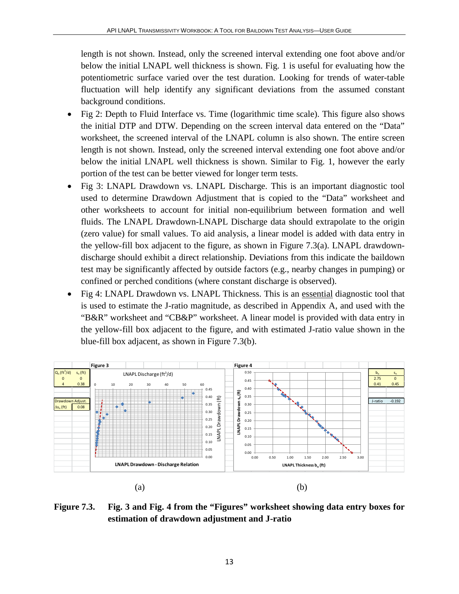length is not shown. Instead, only the screened interval extending one foot above and/or below the initial LNAPL well thickness is shown. Fig. 1 is useful for evaluating how the potentiometric surface varied over the test duration. Looking for trends of water-table fluctuation will help identify any significant deviations from the assumed constant background conditions.

- Fig 2: Depth to Fluid Interface vs. Time (logarithmic time scale). This figure also shows the initial DTP and DTW. Depending on the screen interval data entered on the "Data" worksheet, the screened interval of the LNAPL column is also shown. The entire screen length is not shown. Instead, only the screened interval extending one foot above and/or below the initial LNAPL well thickness is shown. Similar to Fig. 1, however the early portion of the test can be better viewed for longer term tests.
- Fig 3: LNAPL Drawdown vs. LNAPL Discharge. This is an important diagnostic tool used to determine Drawdown Adjustment that is copied to the "Data" worksheet and other worksheets to account for initial non-equilibrium between formation and well fluids. The LNAPL Drawdown-LNAPL Discharge data should extrapolate to the origin (zero value) for small values. To aid analysis, a linear model is added with data entry in the yellow-fill box adjacent to the figure, as shown in Figure 7.3(a). LNAPL drawdowndischarge should exhibit a direct relationship. Deviations from this indicate the baildown test may be significantly affected by outside factors (e.g., nearby changes in pumping) or confined or perched conditions (where constant discharge is observed).
- Fig 4: LNAPL Drawdown vs. LNAPL Thickness. This is an essential diagnostic tool that is used to estimate the J-ratio magnitude, as described in Appendix A, and used with the "B&R" worksheet and "CB&P" worksheet. A linear model is provided with data entry in the yellow-fill box adjacent to the figure, and with estimated J-ratio value shown in the blue-fill box adjacent, as shown in Figure 7.3(b).



**Figure 7.3. Fig. 3 and Fig. 4 from the "Figures" worksheet showing data entry boxes for estimation of drawdown adjustment and J-ratio**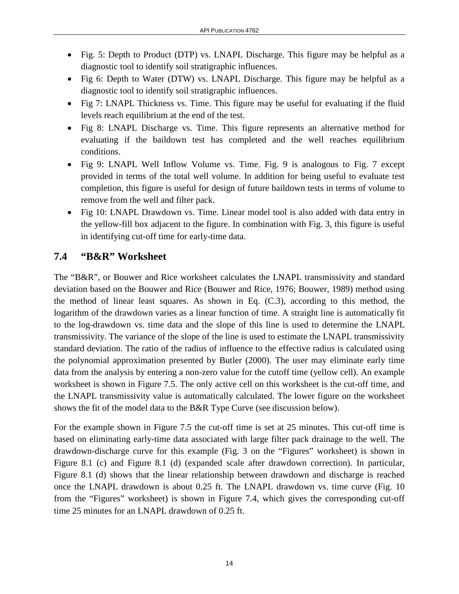- Fig. 5: Depth to Product (DTP) vs. LNAPL Discharge. This figure may be helpful as a diagnostic tool to identify soil stratigraphic influences.
- Fig 6: Depth to Water (DTW) vs. LNAPL Discharge. This figure may be helpful as a diagnostic tool to identify soil stratigraphic influences.
- Fig 7: LNAPL Thickness vs. Time. This figure may be useful for evaluating if the fluid levels reach equilibrium at the end of the test.
- Fig 8: LNAPL Discharge vs. Time. This figure represents an alternative method for evaluating if the baildown test has completed and the well reaches equilibrium conditions.
- Fig 9: LNAPL Well Inflow Volume vs. Time. Fig. 9 is analogous to Fig. 7 except provided in terms of the total well volume. In addition for being useful to evaluate test completion, this figure is useful for design of future baildown tests in terms of volume to remove from the well and filter pack.
- Fig 10: LNAPL Drawdown vs. Time. Linear model tool is also added with data entry in the yellow-fill box adjacent to the figure. In combination with Fig. 3, this figure is useful in identifying cut-off time for early-time data.

# **7.4 "B&R" Worksheet**

The "B&R", or Bouwer and Rice worksheet calculates the LNAPL transmissivity and standard deviation based on the Bouwer and Rice (Bouwer and Rice, 1976; Bouwer, 1989) method using the method of linear least squares. As shown in Eq. (C.3), according to this method, the logarithm of the drawdown varies as a linear function of time. A straight line is automatically fit to the log-drawdown vs. time data and the slope of this line is used to determine the LNAPL transmissivity. The variance of the slope of the line is used to estimate the LNAPL transmissivity standard deviation. The ratio of the radius of influence to the effective radius is calculated using the polynomial approximation presented by Butler (2000). The user may eliminate early time data from the analysis by entering a non-zero value for the cutoff time (yellow cell). An example worksheet is shown in Figure 7.5. The only active cell on this worksheet is the cut-off time, and the LNAPL transmissivity value is automatically calculated. The lower figure on the worksheet shows the fit of the model data to the B&R Type Curve (see discussion below).

For the example shown in Figure 7.5 the cut-off time is set at 25 minutes. This cut-off time is based on eliminating early-time data associated with large filter pack drainage to the well. The drawdown-discharge curve for this example (Fig. 3 on the "Figures" worksheet) is shown in Figure 8.1 (c) and Figure 8.1 (d) (expanded scale after drawdown correction). In particular, Figure 8.1 (d) shows that the linear relationship between drawdown and discharge is reached once the LNAPL drawdown is about 0.25 ft. The LNAPL drawdown vs. time curve (Fig. 10 from the "Figures" worksheet) is shown in Figure 7.4, which gives the corresponding cut-off time 25 minutes for an LNAPL drawdown of 0.25 ft.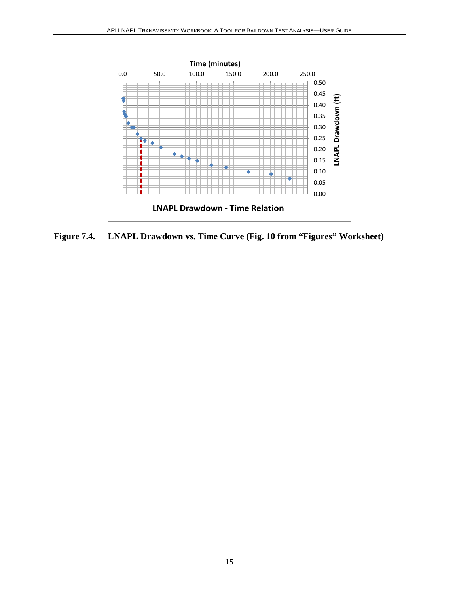

**Figure 7.4. LNAPL Drawdown vs. Time Curve (Fig. 10 from "Figures" Worksheet)**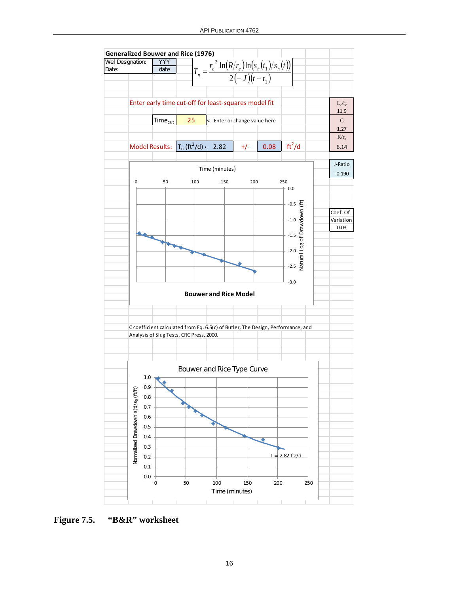

**Figure 7.5. "B&R" worksheet**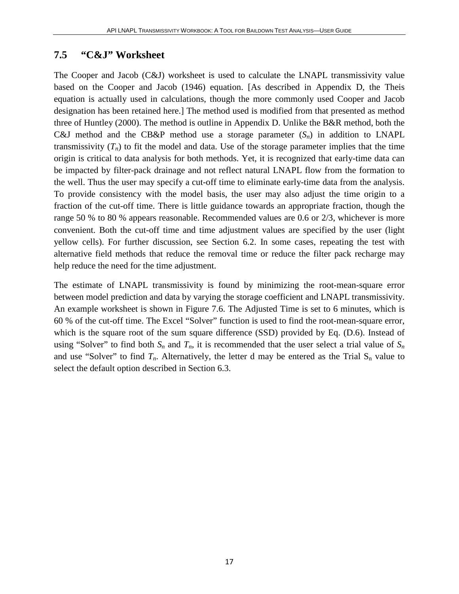## **7.5 "C&J" Worksheet**

The Cooper and Jacob (C&J) worksheet is used to calculate the LNAPL transmissivity value based on the Cooper and Jacob (1946) equation. [As described in Appendix D, the Theis equation is actually used in calculations, though the more commonly used Cooper and Jacob designation has been retained here.] The method used is modified from that presented as method three of Huntley (2000). The method is outline in Appendix D. Unlike the B&R method, both the C&J method and the CB&P method use a storage parameter  $(S_n)$  in addition to LNAPL transmissivity  $(T_n)$  to fit the model and data. Use of the storage parameter implies that the time origin is critical to data analysis for both methods. Yet, it is recognized that early-time data can be impacted by filter-pack drainage and not reflect natural LNAPL flow from the formation to the well. Thus the user may specify a cut-off time to eliminate early-time data from the analysis. To provide consistency with the model basis, the user may also adjust the time origin to a fraction of the cut-off time. There is little guidance towards an appropriate fraction, though the range 50 % to 80 % appears reasonable. Recommended values are 0.6 or 2/3, whichever is more convenient. Both the cut-off time and time adjustment values are specified by the user (light yellow cells). For further discussion, see Section 6.2. In some cases, repeating the test with alternative field methods that reduce the removal time or reduce the filter pack recharge may help reduce the need for the time adjustment.

The estimate of LNAPL transmissivity is found by minimizing the root-mean-square error between model prediction and data by varying the storage coefficient and LNAPL transmissivity. An example worksheet is shown in Figure 7.6. The Adjusted Time is set to 6 minutes, which is 60 % of the cut-off time. The Excel "Solver" function is used to find the root-mean-square error, which is the square root of the sum square difference (SSD) provided by Eq. (D.6). Instead of using "Solver" to find both  $S_n$  and  $T_n$ , it is recommended that the user select a trial value of  $S_n$ and use "Solver" to find  $T_n$ . Alternatively, the letter d may be entered as the Trial  $S_n$  value to select the default option described in Section 6.3.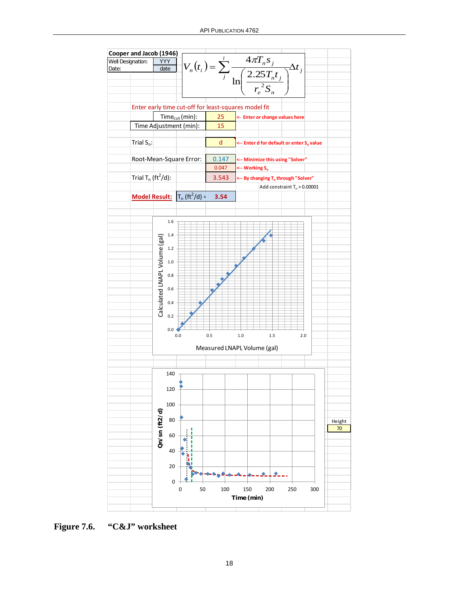

**Figure 7.6. "C&J" worksheet**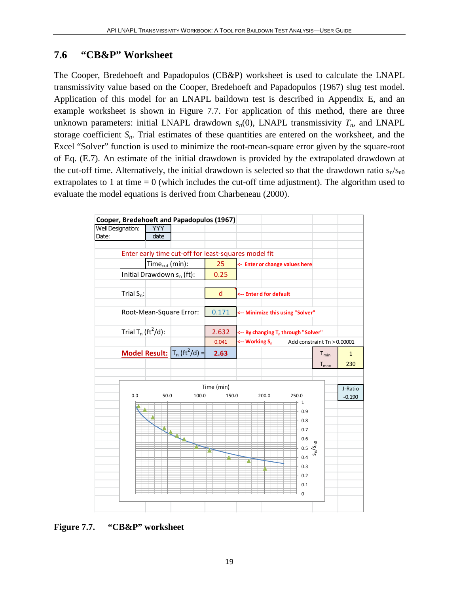## **7.6 "CB&P" Worksheet**

The Cooper, Bredehoeft and Papadopulos (CB&P) worksheet is used to calculate the LNAPL transmissivity value based on the Cooper, Bredehoeft and Papadopulos (1967) slug test model. Application of this model for an LNAPL baildown test is described in Appendix E, and an example worksheet is shown in Figure 7.7. For application of this method, there are three unknown parameters: initial LNAPL drawdown  $s_n(0)$ , LNAPL transmissivity  $T_n$ , and LNAPL storage coefficient  $S_n$ . Trial estimates of these quantities are entered on the worksheet, and the Excel "Solver" function is used to minimize the root-mean-square error given by the square-root of Eq. (E.7). An estimate of the initial drawdown is provided by the extrapolated drawdown at the cut-off time. Alternatively, the initial drawdown is selected so that the drawdown ratio  $s_n/s_{n0}$ extrapolates to 1 at time  $= 0$  (which includes the cut-off time adjustment). The algorithm used to evaluate the model equations is derived from Charbeneau (2000).

|                   |                                   |                                       | Cooper, Bredehoeft and Papadopulos (1967)            |                     |                            |                         |                                                 |                             |              |
|-------------------|-----------------------------------|---------------------------------------|------------------------------------------------------|---------------------|----------------------------|-------------------------|-------------------------------------------------|-----------------------------|--------------|
| Well Designation: |                                   | <b>YYY</b>                            |                                                      |                     |                            |                         |                                                 |                             |              |
| Date:             |                                   | date                                  |                                                      |                     |                            |                         |                                                 |                             |              |
|                   |                                   |                                       |                                                      |                     |                            |                         |                                                 |                             |              |
|                   |                                   |                                       | Enter early time cut-off for least-squares model fit |                     |                            |                         |                                                 |                             |              |
|                   |                                   | Time <sub>cut</sub> (min):            |                                                      | 25                  |                            |                         | <- Enter or change values here                  |                             |              |
|                   |                                   | Initial Drawdown s <sub>n</sub> (ft): |                                                      | 0.25                |                            |                         |                                                 |                             |              |
|                   | Trial $S_n$ :                     |                                       |                                                      | $\mathsf{d}$        |                            | <-- Enter d for default |                                                 |                             |              |
|                   |                                   |                                       | Root-Mean-Square Error:                              | 0.171               |                            |                         | <-- Minimize this using "Solver"                |                             |              |
|                   | Trial $T_n$ (ft <sup>2</sup> /d): |                                       |                                                      | 2.632               |                            |                         | <-- By changing T <sub>n</sub> through "Solver" |                             |              |
|                   |                                   |                                       |                                                      | 0.041               | <-- Working S <sub>n</sub> |                         |                                                 | Add constraint Tn > 0.00001 |              |
|                   |                                   |                                       | Model Result: $T_n (ft^2/d) =$                       | 2.63                |                            |                         |                                                 | $T_{min}$                   | $\mathbf{1}$ |
|                   |                                   |                                       |                                                      |                     |                            |                         |                                                 | $T_{max}$                   | 230          |
|                   |                                   |                                       |                                                      |                     |                            |                         |                                                 |                             |              |
|                   |                                   |                                       |                                                      |                     |                            |                         |                                                 |                             |              |
|                   | 0.0                               | 50.0                                  | 100.0                                                | Time (min)<br>150.0 |                            | 200.0                   | 250.0                                           |                             | J-Ratio      |
|                   |                                   |                                       |                                                      |                     |                            |                         | 1                                               |                             | $-0.190$     |
|                   |                                   |                                       |                                                      |                     |                            |                         | 0.9                                             |                             |              |
|                   |                                   |                                       |                                                      |                     |                            |                         | 0.8                                             |                             |              |
|                   |                                   |                                       |                                                      |                     |                            |                         | 0.7                                             |                             |              |
|                   |                                   |                                       |                                                      |                     |                            |                         |                                                 |                             |              |
|                   |                                   |                                       |                                                      |                     |                            |                         | 0.6                                             |                             |              |
|                   |                                   |                                       |                                                      |                     |                            |                         | $0.5\,$                                         | $s_n/s_{n0}$                |              |
|                   |                                   |                                       |                                                      |                     |                            |                         | 0.4                                             |                             |              |
|                   |                                   |                                       |                                                      |                     |                            |                         | 0.3                                             |                             |              |
|                   |                                   |                                       |                                                      |                     |                            |                         | 0.2                                             |                             |              |
|                   |                                   |                                       |                                                      |                     |                            |                         | 0.1                                             |                             |              |
|                   |                                   |                                       |                                                      |                     |                            |                         | $\mathbf 0$                                     |                             |              |
|                   |                                   |                                       |                                                      |                     |                            |                         |                                                 |                             |              |
|                   |                                   |                                       |                                                      |                     |                            |                         |                                                 |                             |              |

**Figure 7.7. "CB&P" worksheet**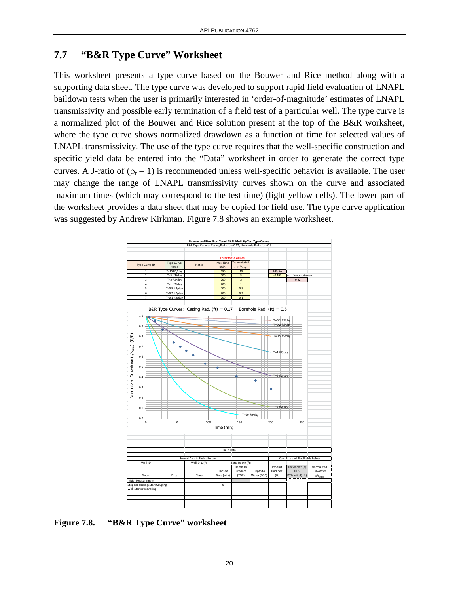#### **7.7 "B&R Type Curve" Worksheet**

This worksheet presents a type curve based on the Bouwer and Rice method along with a supporting data sheet. The type curve was developed to support rapid field evaluation of LNAPL baildown tests when the user is primarily interested in 'order-of-magnitude' estimates of LNAPL transmissivity and possible early termination of a field test of a particular well. The type curve is a normalized plot of the Bouwer and Rice solution present at the top of the B&R worksheet, where the type curve shows normalized drawdown as a function of time for selected values of LNAPL transmissivity. The use of the type curve requires that the well-specific construction and specific yield data be entered into the "Data" worksheet in order to generate the correct type curves. A J-ratio of  $(p_r - 1)$  is recommended unless well-specific behavior is available. The user may change the range of LNAPL transmissivity curves shown on the curve and associated maximum times (which may correspond to the test time) (light yellow cells). The lower part of the worksheet provides a data sheet that may be copied for field use. The type curve application was suggested by Andrew Kirkman. Figure 7.8 shows an example worksheet.



**Figure 7.8. "B&R Type Curve" worksheet**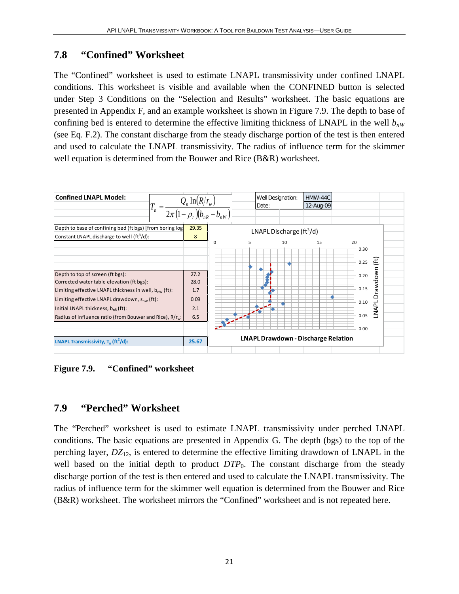## **7.8 "Confined" Worksheet**

The "Confined" worksheet is used to estimate LNAPL transmissivity under confined LNAPL conditions. This worksheet is visible and available when the CONFINED button is selected under Step 3 Conditions on the "Selection and Results" worksheet. The basic equations are presented in Appendix F, and an example worksheet is shown in Figure 7.9. The depth to base of confining bed is entered to determine the effective limiting thickness of LNAPL in the well  $b_{nw}$ (see Eq. F.2). The constant discharge from the steady discharge portion of the test is then entered and used to calculate the LNAPL transmissivity. The radius of influence term for the skimmer well equation is determined from the Bouwer and Rice (B&R) worksheet.



**Figure 7.9. "Confined" worksheet**

## **7.9 "Perched" Worksheet**

The "Perched" worksheet is used to estimate LNAPL transmissivity under perched LNAPL conditions. The basic equations are presented in Appendix G. The depth (bgs) to the top of the perching layer, *DZ*12, is entered to determine the effective limiting drawdown of LNAPL in the well based on the initial depth to product  $DTP_0$ . The constant discharge from the steady discharge portion of the test is then entered and used to calculate the LNAPL transmissivity. The radius of influence term for the skimmer well equation is determined from the Bouwer and Rice (B&R) worksheet. The worksheet mirrors the "Confined" worksheet and is not repeated here.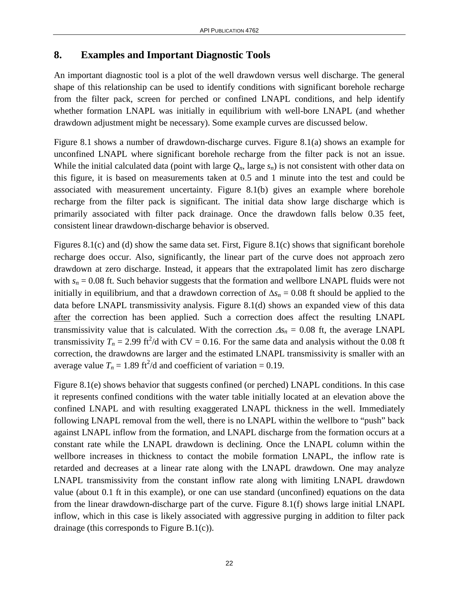#### **8. Examples and Important Diagnostic Tools**

An important diagnostic tool is a plot of the well drawdown versus well discharge. The general shape of this relationship can be used to identify conditions with significant borehole recharge from the filter pack, screen for perched or confined LNAPL conditions, and help identify whether formation LNAPL was initially in equilibrium with well-bore LNAPL (and whether drawdown adjustment might be necessary). Some example curves are discussed below.

Figure 8.1 shows a number of drawdown-discharge curves. Figure 8.1(a) shows an example for unconfined LNAPL where significant borehole recharge from the filter pack is not an issue. While the initial calculated data (point with large  $Q_n$ , large  $s_n$ ) is not consistent with other data on this figure, it is based on measurements taken at 0.5 and 1 minute into the test and could be associated with measurement uncertainty. Figure 8.1(b) gives an example where borehole recharge from the filter pack is significant. The initial data show large discharge which is primarily associated with filter pack drainage. Once the drawdown falls below 0.35 feet, consistent linear drawdown-discharge behavior is observed.

Figures 8.1(c) and (d) show the same data set. First, Figure 8.1(c) shows that significant borehole recharge does occur. Also, significantly, the linear part of the curve does not approach zero drawdown at zero discharge. Instead, it appears that the extrapolated limit has zero discharge with  $s_n = 0.08$  ft. Such behavior suggests that the formation and wellbore LNAPL fluids were not initially in equilibrium, and that a drawdown correction of  $\Delta s_n = 0.08$  ft should be applied to the data before LNAPL transmissivity analysis. Figure 8.1(d) shows an expanded view of this data after the correction has been applied. Such a correction does affect the resulting LNAPL transmissivity value that is calculated. With the correction  $\Delta s_n = 0.08$  ft, the average LNAPL transmissivity  $T_n = 2.99 \text{ ft}^2/\text{d}$  with CV = 0.16. For the same data and analysis without the 0.08 ft correction, the drawdowns are larger and the estimated LNAPL transmissivity is smaller with an average value  $T_n = 1.89 \text{ ft}^2/\text{d}$  and coefficient of variation = 0.19.

Figure 8.1(e) shows behavior that suggests confined (or perched) LNAPL conditions. In this case it represents confined conditions with the water table initially located at an elevation above the confined LNAPL and with resulting exaggerated LNAPL thickness in the well. Immediately following LNAPL removal from the well, there is no LNAPL within the wellbore to "push" back against LNAPL inflow from the formation, and LNAPL discharge from the formation occurs at a constant rate while the LNAPL drawdown is declining. Once the LNAPL column within the wellbore increases in thickness to contact the mobile formation LNAPL, the inflow rate is retarded and decreases at a linear rate along with the LNAPL drawdown. One may analyze LNAPL transmissivity from the constant inflow rate along with limiting LNAPL drawdown value (about 0.1 ft in this example), or one can use standard (unconfined) equations on the data from the linear drawdown-discharge part of the curve. Figure 8.1(f) shows large initial LNAPL inflow, which in this case is likely associated with aggressive purging in addition to filter pack drainage (this corresponds to Figure B.1(c)).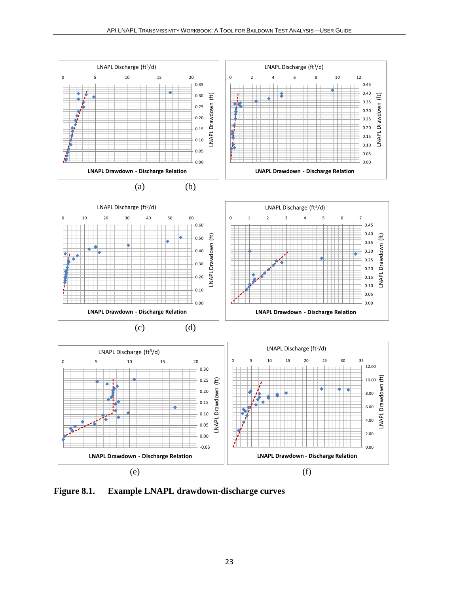

**Figure 8.1. Example LNAPL drawdown-discharge curves**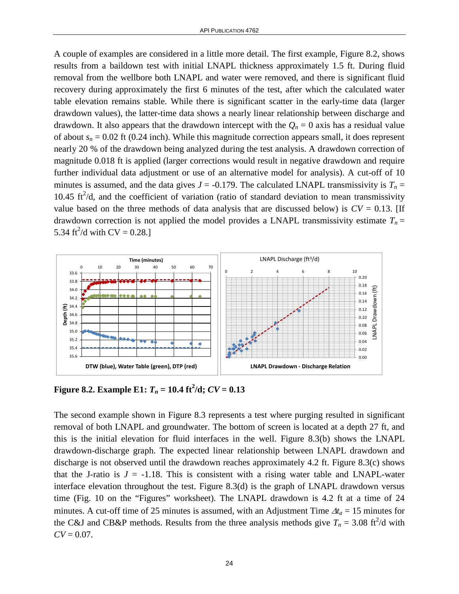A couple of examples are considered in a little more detail. The first example, Figure 8.2, shows results from a baildown test with initial LNAPL thickness approximately 1.5 ft. During fluid removal from the wellbore both LNAPL and water were removed, and there is significant fluid recovery during approximately the first 6 minutes of the test, after which the calculated water table elevation remains stable. While there is significant scatter in the early-time data (larger drawdown values), the latter-time data shows a nearly linear relationship between discharge and drawdown. It also appears that the drawdown intercept with the  $Q_n = 0$  axis has a residual value of about  $s_n = 0.02$  ft (0.24 inch). While this magnitude correction appears small, it does represent nearly 20 % of the drawdown being analyzed during the test analysis. A drawdown correction of magnitude 0.018 ft is applied (larger corrections would result in negative drawdown and require further individual data adjustment or use of an alternative model for analysis). A cut-off of 10 minutes is assumed, and the data gives  $J = -0.179$ . The calculated LNAPL transmissivity is  $T_n =$ 10.45  $\text{ft}^2/\text{d}$ , and the coefficient of variation (ratio of standard deviation to mean transmissivity value based on the three methods of data analysis that are discussed below) is  $CV = 0.13$ . [If drawdown correction is not applied the model provides a LNAPL transmissivity estimate  $T_n =$ 5.34 ft<sup>2</sup>/d with CV = 0.28.]



**Figure 8.2. Example E1:**  $T_n = 10.4 \text{ ft}^2/\text{d}$ ;  $CV = 0.13$ 

The second example shown in Figure 8.3 represents a test where purging resulted in significant removal of both LNAPL and groundwater. The bottom of screen is located at a depth 27 ft, and this is the initial elevation for fluid interfaces in the well. Figure 8.3(b) shows the LNAPL drawdown-discharge graph. The expected linear relationship between LNAPL drawdown and discharge is not observed until the drawdown reaches approximately 4.2 ft. Figure 8.3(c) shows that the J-ratio is  $J = -1.18$ . This is consistent with a rising water table and LNAPL-water interface elevation throughout the test. Figure 8.3(d) is the graph of LNAPL drawdown versus time (Fig. 10 on the "Figures" worksheet). The LNAPL drawdown is 4.2 ft at a time of 24 minutes. A cut-off time of 25 minutes is assumed, with an Adjustment Time  $\Delta t_a = 15$  minutes for the C&J and CB&P methods. Results from the three analysis methods give  $T_n = 3.08 \text{ ft}^2/\text{d}$  with  $CV = 0.07$ .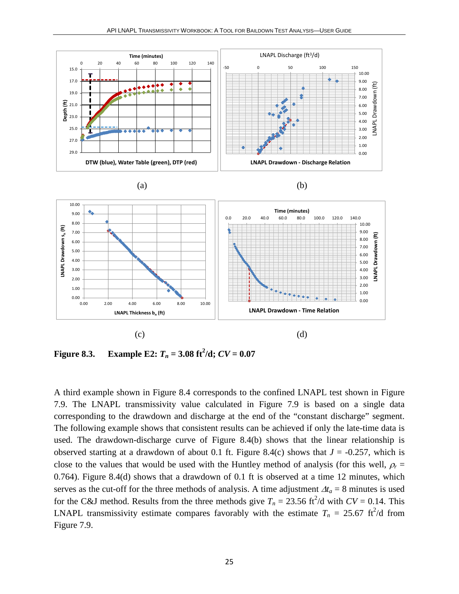

**Figure 8.3. Example E2:**  $T_n = 3.08 \text{ ft}^2/\text{d}$ ;  $CV = 0.07$ 

A third example shown in Figure 8.4 corresponds to the confined LNAPL test shown in Figure 7.9. The LNAPL transmissivity value calculated in Figure 7.9 is based on a single data corresponding to the drawdown and discharge at the end of the "constant discharge" segment. The following example shows that consistent results can be achieved if only the late-time data is used. The drawdown-discharge curve of Figure 8.4(b) shows that the linear relationship is observed starting at a drawdown of about 0.1 ft. Figure 8.4(c) shows that  $J = -0.257$ , which is close to the values that would be used with the Huntley method of analysis (for this well,  $\rho_r =$ 0.764). Figure 8.4(d) shows that a drawdown of 0.1 ft is observed at a time 12 minutes, which serves as the cut-off for the three methods of analysis. A time adjustment  $\Delta t_a = 8$  minutes is used for the C&J method. Results from the three methods give  $T_n = 23.56 \text{ ft}^2/\text{d}$  with  $CV = 0.14$ . This LNAPL transmissivity estimate compares favorably with the estimate  $T_n = 25.67 \text{ ft}^2/\text{d}$  from Figure 7.9.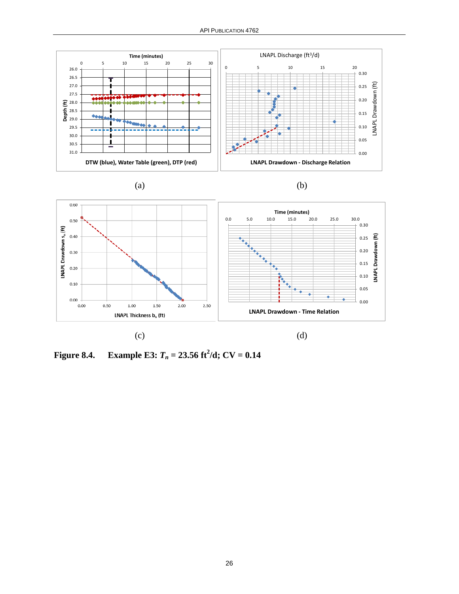

**Figure 8.4. Example E3:**  $T_n = 23.56 \text{ ft}^2/\text{d}$ ;  $CV = 0.14$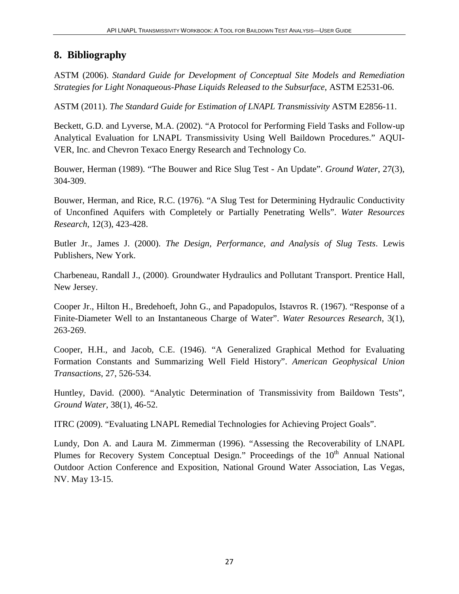# **8. Bibliography**

ASTM (2006). *Standard Guide for Development of Conceptual Site Models and Remediation Strategies for Light Nonaqueous-Phase Liquids Released to the Subsurface*, ASTM E2531-06.

ASTM (2011). *The Standard Guide for Estimation of LNAPL Transmissivity* ASTM E2856-11.

Beckett, G.D. and Lyverse, M.A. (2002). "A Protocol for Performing Field Tasks and Follow-up Analytical Evaluation for LNAPL Transmissivity Using Well Baildown Procedures." AQUI-VER, Inc. and Chevron Texaco Energy Research and Technology Co.

Bouwer, Herman (1989). "The Bouwer and Rice Slug Test - An Update". *Ground Water*, 27(3), 304-309.

Bouwer, Herman, and Rice, R.C. (1976). "A Slug Test for Determining Hydraulic Conductivity of Unconfined Aquifers with Completely or Partially Penetrating Wells". *Water Resources Research*, 12(3), 423-428.

Butler Jr., James J. (2000). *The Design, Performance, and Analysis of Slug Tests*. Lewis Publishers, New York.

Charbeneau, Randall J., (2000). Groundwater Hydraulics and Pollutant Transport. Prentice Hall, New Jersey.

Cooper Jr., Hilton H., Bredehoeft, John G., and Papadopulos, Istavros R. (1967). "Response of a Finite-Diameter Well to an Instantaneous Charge of Water". *Water Resources Research*, 3(1), 263-269.

Cooper, H.H., and Jacob, C.E. (1946). "A Generalized Graphical Method for Evaluating Formation Constants and Summarizing Well Field History". *American Geophysical Union Transactions*, 27, 526-534.

Huntley, David. (2000). "Analytic Determination of Transmissivity from Baildown Tests", *Ground Water*, 38(1), 46-52.

ITRC (2009). "Evaluating LNAPL Remedial Technologies for Achieving Project Goals".

Lundy, Don A. and Laura M. Zimmerman (1996). "Assessing the Recoverability of LNAPL Plumes for Recovery System Conceptual Design." Proceedings of the 10<sup>th</sup> Annual National Outdoor Action Conference and Exposition, National Ground Water Association, Las Vegas, NV. May 13-15.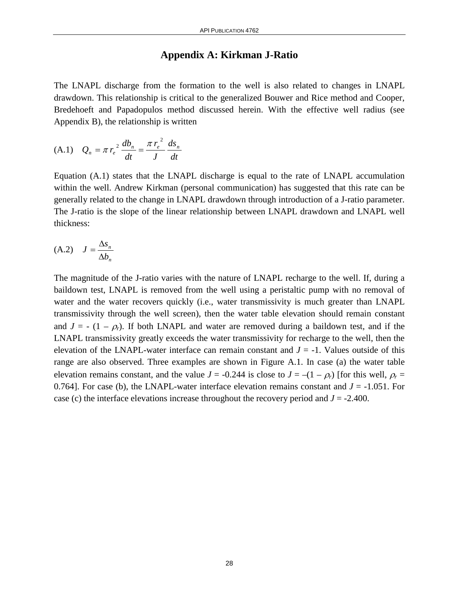#### **Appendix A: Kirkman J-Ratio**

The LNAPL discharge from the formation to the well is also related to changes in LNAPL drawdown. This relationship is critical to the generalized Bouwer and Rice method and Cooper, Bredehoeft and Papadopulos method discussed herein. With the effective well radius (see Appendix B), the relationship is written

(A.1) 
$$
Q_n = \pi r_e^2 \frac{db_n}{dt} = \frac{\pi r_e^2}{J} \frac{ds_n}{dt}
$$

Equation (A.1) states that the LNAPL discharge is equal to the rate of LNAPL accumulation within the well. Andrew Kirkman (personal communication) has suggested that this rate can be generally related to the change in LNAPL drawdown through introduction of a J-ratio parameter. The J-ratio is the slope of the linear relationship between LNAPL drawdown and LNAPL well thickness:

$$
(A.2) \quad J = \frac{\Delta s_n}{\Delta b_n}
$$

The magnitude of the J-ratio varies with the nature of LNAPL recharge to the well. If, during a baildown test, LNAPL is removed from the well using a peristaltic pump with no removal of water and the water recovers quickly (i.e., water transmissivity is much greater than LNAPL transmissivity through the well screen), then the water table elevation should remain constant and  $J = - (1 - \rho_r)$ . If both LNAPL and water are removed during a baildown test, and if the LNAPL transmissivity greatly exceeds the water transmissivity for recharge to the well, then the elevation of the LNAPL-water interface can remain constant and  $J = -1$ . Values outside of this range are also observed. Three examples are shown in Figure A.1. In case (a) the water table elevation remains constant, and the value  $J = -0.244$  is close to  $J = -(1 - \rho_r)$  [for this well,  $\rho_r =$ 0.764]. For case (b), the LNAPL-water interface elevation remains constant and  $J = -1.051$ . For case (c) the interface elevations increase throughout the recovery period and  $J = -2.400$ .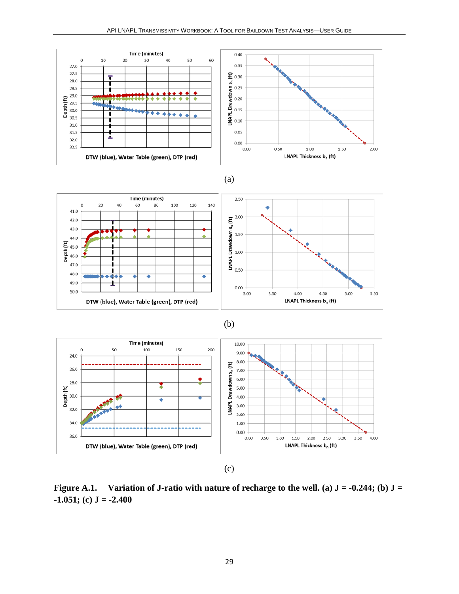











**Figure A.1.** Variation of J-ratio with nature of recharge to the well. (a)  $J = -0.244$ ; (b)  $J =$  $-1.051$ ; (c)  $J = -2.400$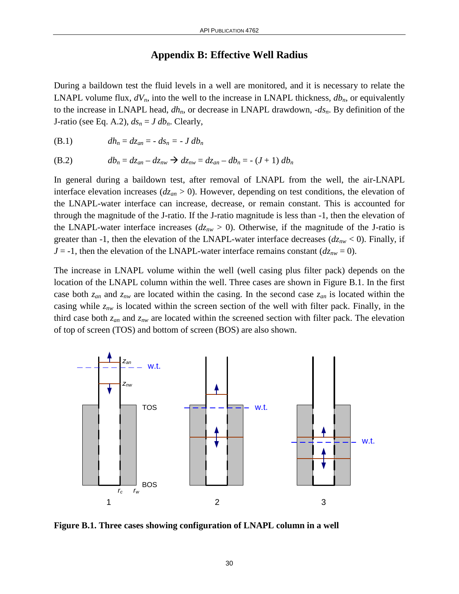#### **Appendix B: Effective Well Radius**

During a baildown test the fluid levels in a well are monitored, and it is necessary to relate the LNAPL volume flux,  $dV_n$ , into the well to the increase in LNAPL thickness,  $db_n$ , or equivalently to the increase in LNAPL head, *dhn*, or decrease in LNAPL drawdown, -*dsn*. By definition of the J-ratio (see Eq. A.2),  $ds_n = J db_n$ . Clearly,

$$
(B.1) \t\t\t dh_n = dz_{an} = - ds_n = - J db_n
$$

(B.2) 
$$
db_n = dz_{an} - dz_{nw} \rightarrow dz_{nw} = dz_{an} - db_n = -(J+1) db_n
$$

In general during a baildown test, after removal of LNAPL from the well, the air-LNAPL interface elevation increases  $(dz_{an} > 0)$ . However, depending on test conditions, the elevation of the LNAPL-water interface can increase, decrease, or remain constant. This is accounted for through the magnitude of the J-ratio. If the J-ratio magnitude is less than -1, then the elevation of the LNAPL-water interface increases  $(dz_{nw} > 0)$ . Otherwise, if the magnitude of the J-ratio is greater than -1, then the elevation of the LNAPL-water interface decreases  $(dz_{nw} < 0)$ . Finally, if  $J = -1$ , then the elevation of the LNAPL-water interface remains constant  $(dz_{nw} = 0)$ .

The increase in LNAPL volume within the well (well casing plus filter pack) depends on the location of the LNAPL column within the well. Three cases are shown in Figure B.1. In the first case both *zan* and *znw* are located within the casing. In the second case *zan* is located within the casing while *znw* is located within the screen section of the well with filter pack. Finally, in the third case both  $z_{an}$  and  $z_{nw}$  are located within the screened section with filter pack. The elevation of top of screen (TOS) and bottom of screen (BOS) are also shown.



**Figure B.1. Three cases showing configuration of LNAPL column in a well**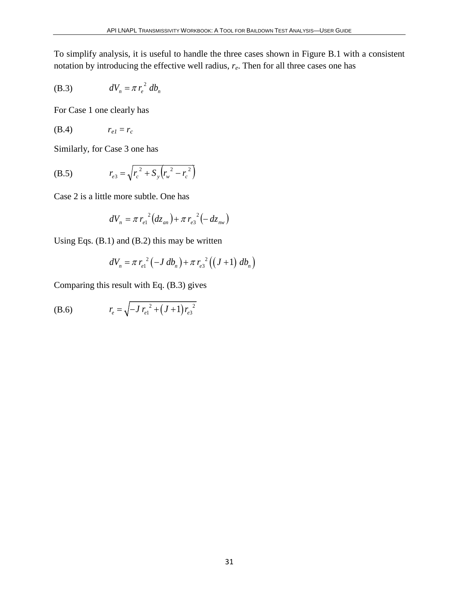To simplify analysis, it is useful to handle the three cases shown in Figure B.1 with a consistent notation by introducing the effective well radius, *re*. Then for all three cases one has

$$
(B.3) \t dV_n = \pi r_e^2 db_n
$$

For Case 1 one clearly has

$$
(B.4) \t\t\t r_{el} = r_c
$$

Similarly, for Case 3 one has

(B.5) 
$$
r_{e3} = \sqrt{r_c^2 + S_y (r_w^2 - r_c^2)}
$$

Case 2 is a little more subtle. One has

$$
dV_n = \pi r_{e1}^{2} (dz_{an}) + \pi r_{e3}^{2} (-dz_{nw})
$$

Using Eqs. (B.1) and (B.2) this may be written

$$
dV_n = \pi r_{e1}^{2} \left( -J \, db_n \right) + \pi r_{e3}^{2} \left( \left( J + 1 \right) \, db_n \right)
$$

Comparing this result with Eq. (B.3) gives

(B.6) 
$$
r_e = \sqrt{-J r_{e1}^2 + (J+1) r_{e3}^2}
$$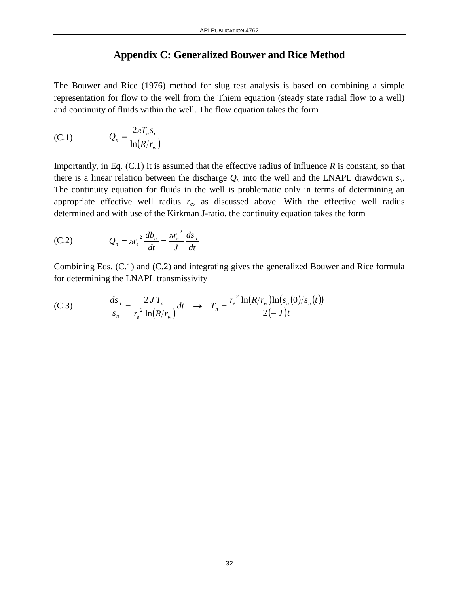#### **Appendix C: Generalized Bouwer and Rice Method**

The Bouwer and Rice (1976) method for slug test analysis is based on combining a simple representation for flow to the well from the Thiem equation (steady state radial flow to a well) and continuity of fluids within the well. The flow equation takes the form

(C.1) 
$$
Q_n = \frac{2\pi T_n s_n}{\ln(R/r_w)}
$$

Importantly, in Eq. (C.1) it is assumed that the effective radius of influence *R* is constant, so that there is a linear relation between the discharge  $Q_n$  into the well and the LNAPL drawdown  $s_n$ . The continuity equation for fluids in the well is problematic only in terms of determining an appropriate effective well radius  $r_e$ , as discussed above. With the effective well radius determined and with use of the Kirkman J-ratio, the continuity equation takes the form

(C.2) 
$$
Q_n = \pi r_e^2 \frac{db_n}{dt} = \frac{\pi r_e^2}{J} \frac{ds_n}{dt}
$$

Combining Eqs. (C.1) and (C.2) and integrating gives the generalized Bouwer and Rice formula for determining the LNAPL transmissivity

(C.3) 
$$
\frac{ds_n}{s_n} = \frac{2J T_n}{r_e^2 \ln(R/r_w)} dt \rightarrow T_n = \frac{r_e^2 \ln(R/r_w) \ln(s_n(0)/s_n(t))}{2(-J)t}
$$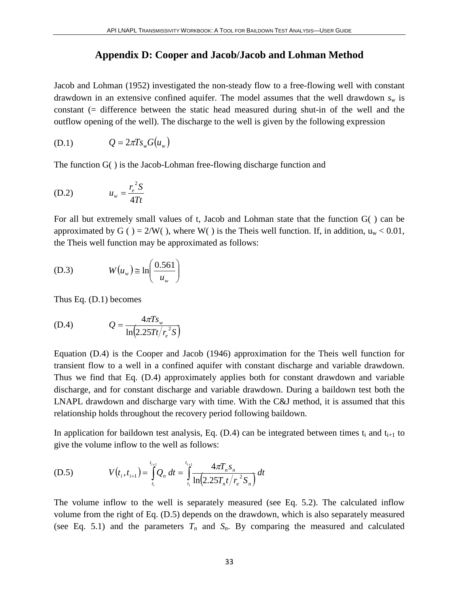#### **Appendix D: Cooper and Jacob/Jacob and Lohman Method**

Jacob and Lohman (1952) investigated the non-steady flow to a free-flowing well with constant drawdown in an extensive confined aquifer. The model assumes that the well drawdown  $s_w$  is constant (= difference between the static head measured during shut-in of the well and the outflow opening of the well). The discharge to the well is given by the following expression

$$
(D.1) \tQ = 2\pi T s_w G(u_w)
$$

The function G( ) is the Jacob-Lohman free-flowing discharge function and

$$
(D.2) \t u_w = \frac{r_e^2 S}{4Tt}
$$

For all but extremely small values of t, Jacob and Lohman state that the function G( ) can be approximated by G ( ) =  $2/W($  ), where W( ) is the Theis well function. If, in addition,  $u_w < 0.01$ , the Theis well function may be approximated as follows:

(D.3) 
$$
W(u_w) \cong \ln\left(\frac{0.561}{u_w}\right)
$$

Thus Eq. (D.1) becomes

(D.4) 
$$
Q = \frac{4\pi Ts_w}{\ln(2.25Tt/r_e^2S)}
$$

Equation (D.4) is the Cooper and Jacob (1946) approximation for the Theis well function for transient flow to a well in a confined aquifer with constant discharge and variable drawdown. Thus we find that Eq. (D.4) approximately applies both for constant drawdown and variable discharge, and for constant discharge and variable drawdown. During a baildown test both the LNAPL drawdown and discharge vary with time. With the C&J method, it is assumed that this relationship holds throughout the recovery period following baildown.

In application for baildown test analysis, Eq.  $(D.4)$  can be integrated between times  $t_i$  and  $t_{i+1}$  to give the volume inflow to the well as follows:

(D.5) 
$$
V(t_i, t_{i+1}) = \int_{t_i}^{t_{i+1}} Q_n dt = \int_{t_i}^{t_{i+1}} \frac{4\pi T_n s_n}{\ln(2.25T_n t/r_e^2 S_n)} dt
$$

The volume inflow to the well is separately measured (see Eq. 5.2). The calculated inflow volume from the right of Eq. (D.5) depends on the drawdown, which is also separately measured (see Eq. 5.1) and the parameters  $T_n$  and  $S_n$ . By comparing the measured and calculated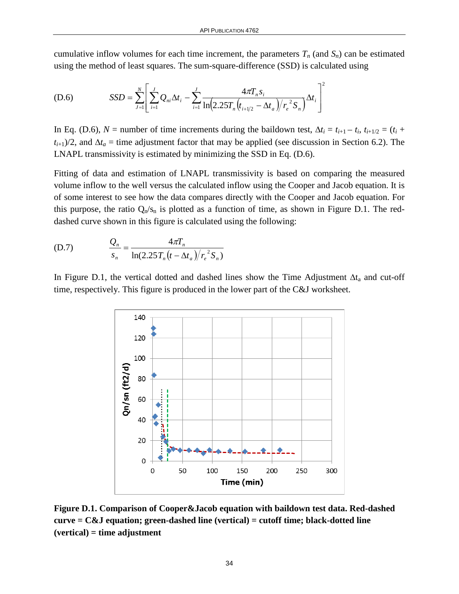cumulative inflow volumes for each time increment, the parameters  $T_n$  (and  $S_n$ ) can be estimated using the method of least squares. The sum-square-difference (SSD) is calculated using

(D.6) 
$$
SSD = \sum_{j=1}^{N} \left[ \sum_{i=1}^{J} Q_{ni} \Delta t_i - \sum_{i=1}^{J} \frac{4\pi T_n s_i}{\ln(2.25T_n(t_{i+1/2} - \Delta t_a)/r_e^2 s_n)} \Delta t_i \right]^2
$$

In Eq. (D.6),  $N =$  number of time increments during the baildown test,  $\Delta t_i = t_{i+1} - t_i$ ,  $t_{i+1/2} = (t_i +$  $t_{i+1}$ /2, and  $\Delta t_a$  = time adjustment factor that may be applied (see discussion in Section 6.2). The LNAPL transmissivity is estimated by minimizing the SSD in Eq. (D.6).

Fitting of data and estimation of LNAPL transmissivity is based on comparing the measured volume inflow to the well versus the calculated inflow using the Cooper and Jacob equation. It is of some interest to see how the data compares directly with the Cooper and Jacob equation. For this purpose, the ratio  $Q_n/s_n$  is plotted as a function of time, as shown in Figure D.1. The reddashed curve shown in this figure is calculated using the following:

(D.7) 
$$
\frac{Q_n}{s_n} = \frac{4\pi T_n}{\ln(2.25T_n(t - \Delta t_a)/r_e^2 S_n)}
$$

In Figure D.1, the vertical dotted and dashed lines show the Time Adjustment  $\Delta t_a$  and cut-off time, respectively. This figure is produced in the lower part of the C&J worksheet.



**Figure D.1. Comparison of Cooper&Jacob equation with baildown test data. Red-dashed curve = C&J equation; green-dashed line (vertical) = cutoff time; black-dotted line (vertical) = time adjustment**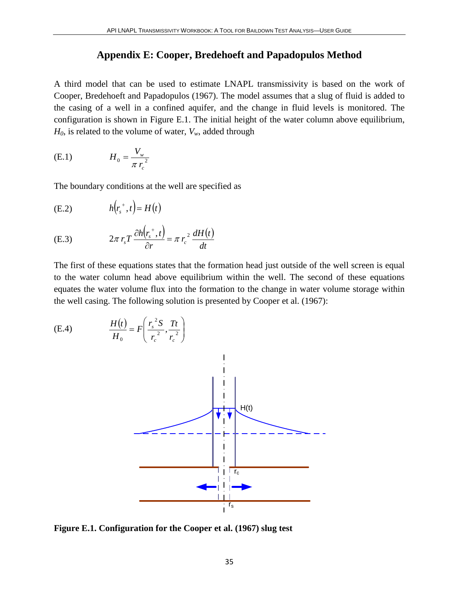#### **Appendix E: Cooper, Bredehoeft and Papadopulos Method**

A third model that can be used to estimate LNAPL transmissivity is based on the work of Cooper, Bredehoeft and Papadopulos (1967). The model assumes that a slug of fluid is added to the casing of a well in a confined aquifer, and the change in fluid levels is monitored. The configuration is shown in Figure E.1. The initial height of the water column above equilibrium,  $H_0$ , is related to the volume of water,  $V_w$ , added through

(E.1) 
$$
H_0 = \frac{V_w}{\pi r_c^2}
$$

The boundary conditions at the well are specified as

$$
(E.2) \t\t h(rs+,t)=H(t)
$$

(E.3) 
$$
2\pi r_s T \frac{\partial h(r_s^+,t)}{\partial r} = \pi r_c^2 \frac{dH(t)}{dt}
$$

The first of these equations states that the formation head just outside of the well screen is equal to the water column head above equilibrium within the well. The second of these equations equates the water volume flux into the formation to the change in water volume storage within the well casing. The following solution is presented by Cooper et al. (1967):



**Figure E.1. Configuration for the Cooper et al. (1967) slug test**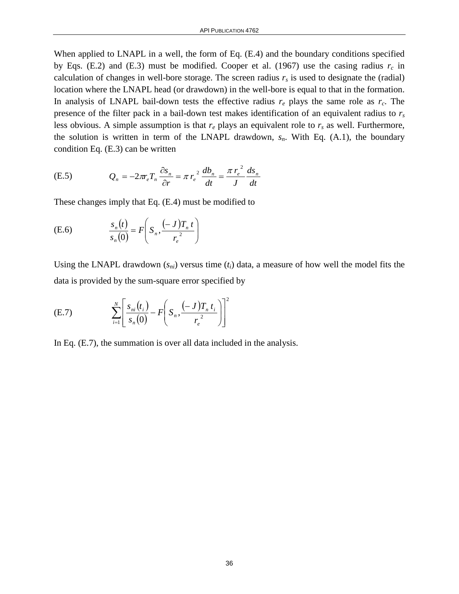When applied to LNAPL in a well, the form of Eq. (E.4) and the boundary conditions specified by Eqs. (E.2) and (E.3) must be modified. Cooper et al. (1967) use the casing radius  $r_c$  in calculation of changes in well-bore storage. The screen radius  $r<sub>s</sub>$  is used to designate the (radial) location where the LNAPL head (or drawdown) in the well-bore is equal to that in the formation. In analysis of LNAPL bail-down tests the effective radius *re* plays the same role as *rc*. The presence of the filter pack in a bail-down test makes identification of an equivalent radius to *rs* less obvious. A simple assumption is that *re* plays an equivalent role to *rs* as well. Furthermore, the solution is written in term of the LNAPL drawdown,  $s_n$ . With Eq. (A.1), the boundary condition Eq. (E.3) can be written

(E.5) 
$$
Q_n = -2\pi r_e T_n \frac{\partial s_n}{\partial r} = \pi r_e^2 \frac{db_n}{dt} = \frac{\pi r_e^2}{J} \frac{ds_n}{dt}
$$

These changes imply that Eq. (E.4) must be modified to

(E.6) 
$$
\frac{s_n(t)}{s_n(0)} = F\left(S_n, \frac{(-J)T_n t}{r_e^2}\right)
$$

Using the LNAPL drawdown  $(s_{ni})$  versus time  $(t_i)$  data, a measure of how well the model fits the data is provided by the sum-square error specified by

(E.7) 
$$
\sum_{i=1}^{N} \left[ \frac{s_{ni}(t_i)}{s_n(0)} - F \left( S_n, \frac{(-J)T_n t_i}{r_e^2} \right) \right]^2
$$

In Eq. (E.7), the summation is over all data included in the analysis.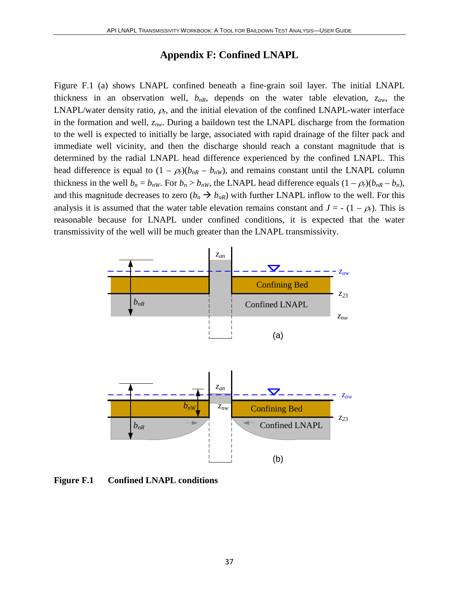#### **Appendix F: Confined LNAPL**

Figure F.1 (a) shows LNAPL confined beneath a fine-grain soil layer. The initial LNAPL thickness in an observation well,  $b_{nR}$ , depends on the water table elevation,  $z_{aw}$ , the LNAPL/water density ratio,  $\rho_r$ , and the initial elevation of the confined LNAPL-water interface in the formation and well, *znw*. During a baildown test the LNAPL discharge from the formation to the well is expected to initially be large, associated with rapid drainage of the filter pack and immediate well vicinity, and then the discharge should reach a constant magnitude that is determined by the radial LNAPL head difference experienced by the confined LNAPL. This head difference is equal to  $(1 - \rho_r)(b_{nR} - b_{nW})$ , and remains constant until the LNAPL column thickness in the well  $b_n = b_{nW}$ . For  $b_n > b_{nW}$ , the LNAPL head difference equals  $(1 - \rho_r)(b_{nR} - b_n)$ , and this magnitude decreases to zero  $(b_n \rightarrow b_{nR})$  with further LNAPL inflow to the well. For this analysis it is assumed that the water table elevation remains constant and  $J = -(1 - \rho_r)$ . This is reasonable because for LNAPL under confined conditions, it is expected that the water transmissivity of the well will be much greater than the LNAPL transmissivity.



**Figure F.1 Confined LNAPL conditions**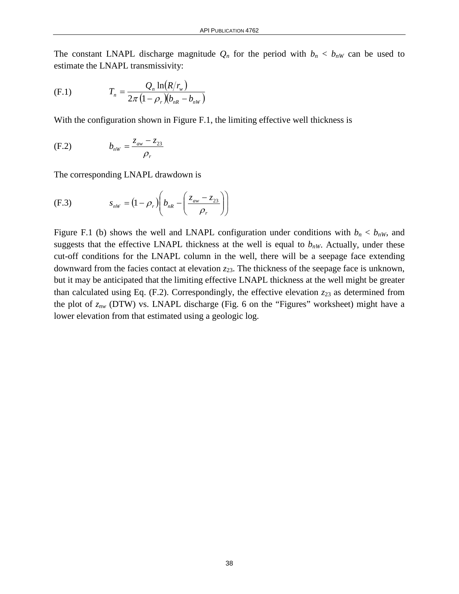The constant LNAPL discharge magnitude  $Q_n$  for the period with  $b_n < b_{nW}$  can be used to estimate the LNAPL transmissivity:

(F.1) 
$$
T_n = \frac{Q_n \ln(R/r_w)}{2\pi (1 - \rho_r)(b_{nR} - b_{nw})}
$$

With the configuration shown in Figure F.1, the limiting effective well thickness is

(F.2) 
$$
b_{nW} = \frac{z_{aw} - z_{23}}{\rho_r}
$$

The corresponding LNAPL drawdown is

(F.3) 
$$
s_{nW} = (1 - \rho_r) \left( b_{nR} - \left( \frac{z_{aw} - z_{23}}{\rho_r} \right) \right)
$$

Figure F.1 (b) shows the well and LNAPL configuration under conditions with  $b_n < b_{nW}$ , and suggests that the effective LNAPL thickness at the well is equal to  $b_{nW}$ . Actually, under these cut-off conditions for the LNAPL column in the well, there will be a seepage face extending downward from the facies contact at elevation  $z_{23}$ . The thickness of the seepage face is unknown, but it may be anticipated that the limiting effective LNAPL thickness at the well might be greater than calculated using Eq.  $(F.2)$ . Correspondingly, the effective elevation  $z_{23}$  as determined from the plot of *znw* (DTW) vs. LNAPL discharge (Fig. 6 on the "Figures" worksheet) might have a lower elevation from that estimated using a geologic log.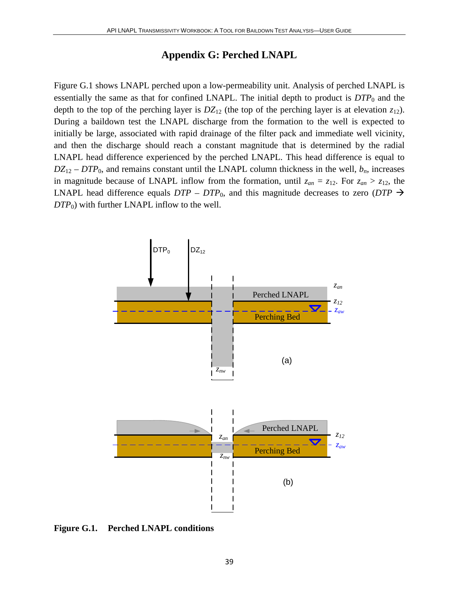#### **Appendix G: Perched LNAPL**

Figure G.1 shows LNAPL perched upon a low-permeability unit. Analysis of perched LNAPL is essentially the same as that for confined LNAPL. The initial depth to product is  $DTP_0$  and the depth to the top of the perching layer is  $DZ_{12}$  (the top of the perching layer is at elevation  $z_{12}$ ). During a baildown test the LNAPL discharge from the formation to the well is expected to initially be large, associated with rapid drainage of the filter pack and immediate well vicinity, and then the discharge should reach a constant magnitude that is determined by the radial LNAPL head difference experienced by the perched LNAPL. This head difference is equal to  $DZ_{12} - DTP_0$ , and remains constant until the LNAPL column thickness in the well,  $b_n$ , increases in magnitude because of LNAPL inflow from the formation, until  $z_{an} = z_{12}$ . For  $z_{an} > z_{12}$ , the LNAPL head difference equals  $DTP - DTP_0$ , and this magnitude decreases to zero ( $DTP \rightarrow$ *DTP*<sub>0</sub>) with further LNAPL inflow to the well.



**Figure G.1. Perched LNAPL conditions**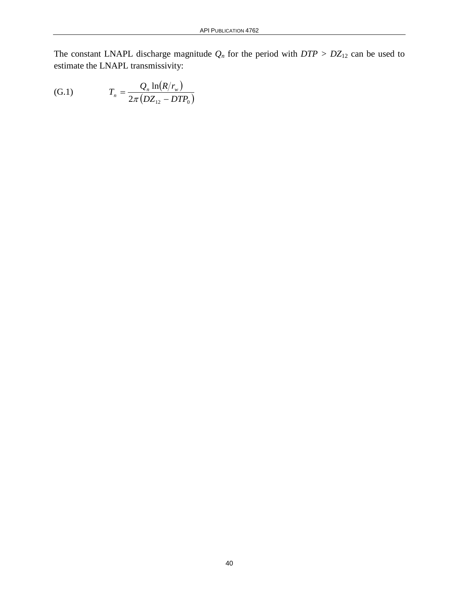The constant LNAPL discharge magnitude  $Q_n$  for the period with  $DTP > DZ_{12}$  can be used to estimate the LNAPL transmissivity:

(G.1) 
$$
T_n = \frac{Q_n \ln(R/r_w)}{2\pi (DZ_{12} - DTP_0)}
$$